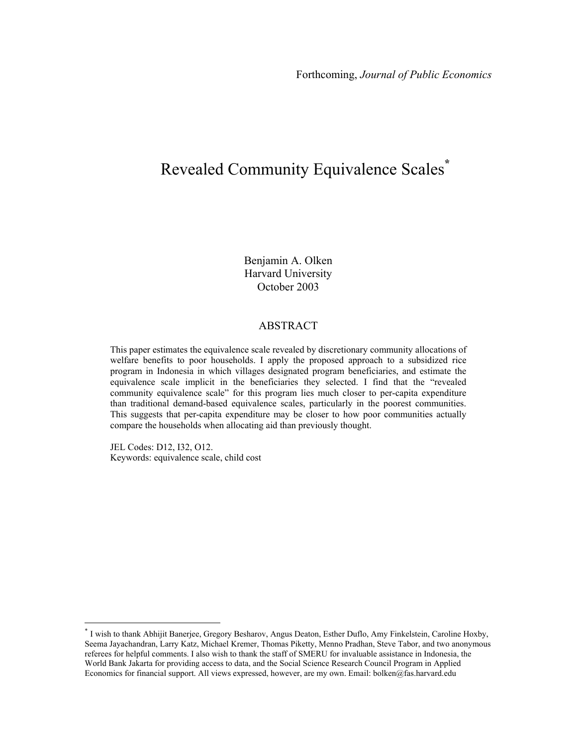# Revealed Community Equivalence Scales**\***

Benjamin A. Olken Harvard University October 2003

#### ABSTRACT

This paper estimates the equivalence scale revealed by discretionary community allocations of welfare benefits to poor households. I apply the proposed approach to a subsidized rice program in Indonesia in which villages designated program beneficiaries, and estimate the equivalence scale implicit in the beneficiaries they selected. I find that the "revealed community equivalence scale" for this program lies much closer to per-capita expenditure than traditional demand-based equivalence scales, particularly in the poorest communities. This suggests that per-capita expenditure may be closer to how poor communities actually compare the households when allocating aid than previously thought.

JEL Codes: D12, I32, O12. Keywords: equivalence scale, child cost

 $\overline{a}$ 

<sup>\*</sup> I wish to thank Abhijit Banerjee, Gregory Besharov, Angus Deaton, Esther Duflo, Amy Finkelstein, Caroline Hoxby, Seema Jayachandran, Larry Katz, Michael Kremer, Thomas Piketty, Menno Pradhan, Steve Tabor, and two anonymous referees for helpful comments. I also wish to thank the staff of SMERU for invaluable assistance in Indonesia, the World Bank Jakarta for providing access to data, and the Social Science Research Council Program in Applied Economics for financial support. All views expressed, however, are my own. Email: bolken@fas.harvard.edu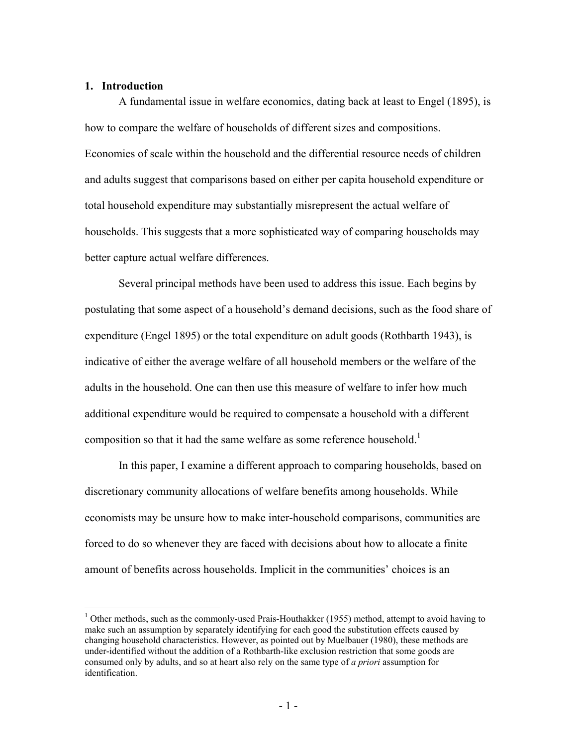#### **1. Introduction**

1

A fundamental issue in welfare economics, dating back at least to Engel (1895), is how to compare the welfare of households of different sizes and compositions. Economies of scale within the household and the differential resource needs of children and adults suggest that comparisons based on either per capita household expenditure or total household expenditure may substantially misrepresent the actual welfare of households. This suggests that a more sophisticated way of comparing households may better capture actual welfare differences.

Several principal methods have been used to address this issue. Each begins by postulating that some aspect of a household's demand decisions, such as the food share of expenditure (Engel 1895) or the total expenditure on adult goods (Rothbarth 1943), is indicative of either the average welfare of all household members or the welfare of the adults in the household. One can then use this measure of welfare to infer how much additional expenditure would be required to compensate a household with a different composition so that it had the same welfare as some reference household.<sup>1</sup>

In this paper, I examine a different approach to comparing households, based on discretionary community allocations of welfare benefits among households. While economists may be unsure how to make inter-household comparisons, communities are forced to do so whenever they are faced with decisions about how to allocate a finite amount of benefits across households. Implicit in the communities' choices is an

<sup>&</sup>lt;sup>1</sup> Other methods, such as the commonly-used Prais-Houthakker (1955) method, attempt to avoid having to make such an assumption by separately identifying for each good the substitution effects caused by changing household characteristics. However, as pointed out by Muelbauer (1980), these methods are under-identified without the addition of a Rothbarth-like exclusion restriction that some goods are consumed only by adults, and so at heart also rely on the same type of *a priori* assumption for identification.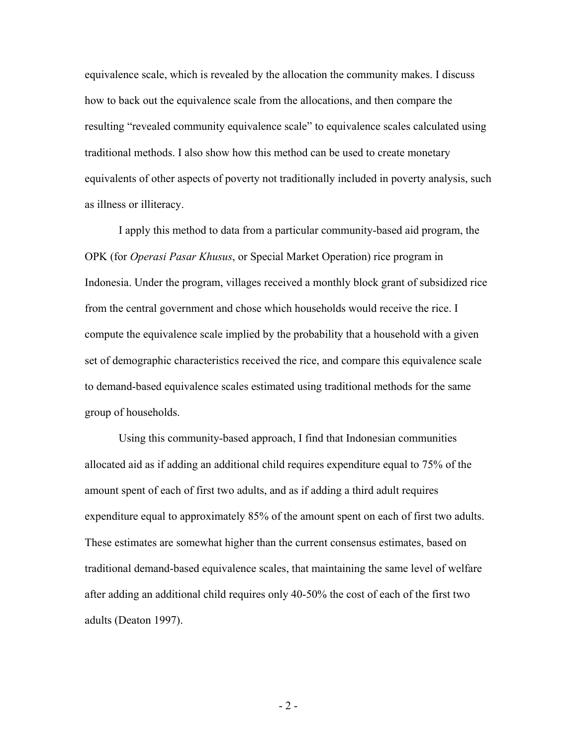equivalence scale, which is revealed by the allocation the community makes. I discuss how to back out the equivalence scale from the allocations, and then compare the resulting "revealed community equivalence scale" to equivalence scales calculated using traditional methods. I also show how this method can be used to create monetary equivalents of other aspects of poverty not traditionally included in poverty analysis, such as illness or illiteracy.

 I apply this method to data from a particular community-based aid program, the OPK (for *Operasi Pasar Khusus*, or Special Market Operation) rice program in Indonesia. Under the program, villages received a monthly block grant of subsidized rice from the central government and chose which households would receive the rice. I compute the equivalence scale implied by the probability that a household with a given set of demographic characteristics received the rice, and compare this equivalence scale to demand-based equivalence scales estimated using traditional methods for the same group of households.

Using this community-based approach, I find that Indonesian communities allocated aid as if adding an additional child requires expenditure equal to 75% of the amount spent of each of first two adults, and as if adding a third adult requires expenditure equal to approximately 85% of the amount spent on each of first two adults. These estimates are somewhat higher than the current consensus estimates, based on traditional demand-based equivalence scales, that maintaining the same level of welfare after adding an additional child requires only 40-50% the cost of each of the first two adults (Deaton 1997).

 $-2-$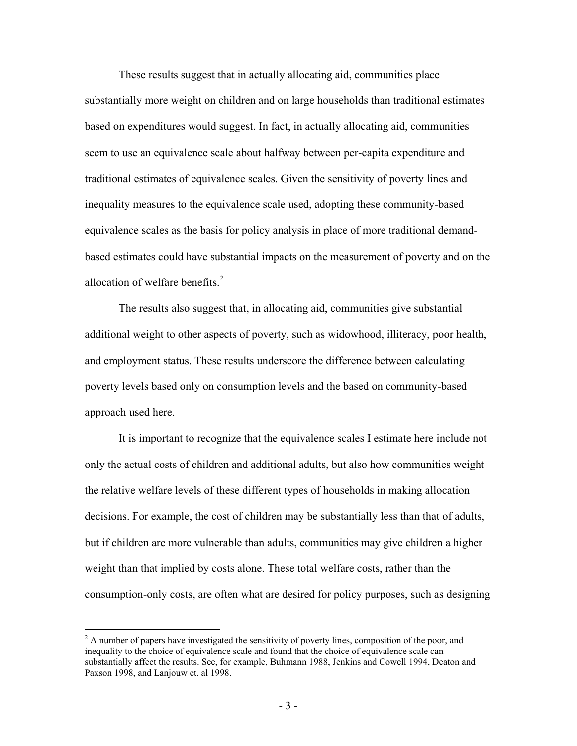These results suggest that in actually allocating aid, communities place substantially more weight on children and on large households than traditional estimates based on expenditures would suggest. In fact, in actually allocating aid, communities seem to use an equivalence scale about halfway between per-capita expenditure and traditional estimates of equivalence scales. Given the sensitivity of poverty lines and inequality measures to the equivalence scale used, adopting these community-based equivalence scales as the basis for policy analysis in place of more traditional demandbased estimates could have substantial impacts on the measurement of poverty and on the allocation of welfare benefits. $<sup>2</sup>$ </sup>

The results also suggest that, in allocating aid, communities give substantial additional weight to other aspects of poverty, such as widowhood, illiteracy, poor health, and employment status. These results underscore the difference between calculating poverty levels based only on consumption levels and the based on community-based approach used here.

It is important to recognize that the equivalence scales I estimate here include not only the actual costs of children and additional adults, but also how communities weight the relative welfare levels of these different types of households in making allocation decisions. For example, the cost of children may be substantially less than that of adults, but if children are more vulnerable than adults, communities may give children a higher weight than that implied by costs alone. These total welfare costs, rather than the consumption-only costs, are often what are desired for policy purposes, such as designing

<u>.</u>

 $2^2$  A number of papers have investigated the sensitivity of poverty lines, composition of the poor, and inequality to the choice of equivalence scale and found that the choice of equivalence scale can substantially affect the results. See, for example, Buhmann 1988, Jenkins and Cowell 1994, Deaton and Paxson 1998, and Lanjouw et. al 1998.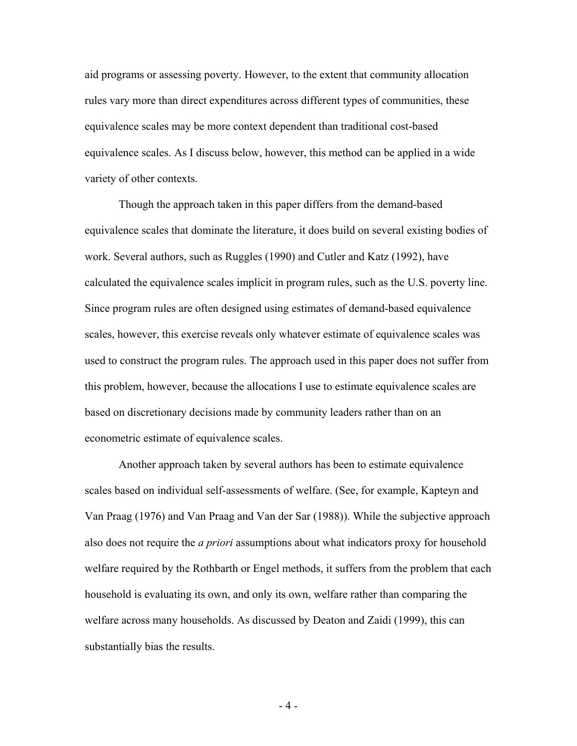aid programs or assessing poverty. However, to the extent that community allocation rules vary more than direct expenditures across different types of communities, these equivalence scales may be more context dependent than traditional cost-based equivalence scales. As I discuss below, however, this method can be applied in a wide variety of other contexts.

Though the approach taken in this paper differs from the demand-based equivalence scales that dominate the literature, it does build on several existing bodies of work. Several authors, such as Ruggles (1990) and Cutler and Katz (1992), have calculated the equivalence scales implicit in program rules, such as the U.S. poverty line. Since program rules are often designed using estimates of demand-based equivalence scales, however, this exercise reveals only whatever estimate of equivalence scales was used to construct the program rules. The approach used in this paper does not suffer from this problem, however, because the allocations I use to estimate equivalence scales are based on discretionary decisions made by community leaders rather than on an econometric estimate of equivalence scales.

Another approach taken by several authors has been to estimate equivalence scales based on individual self-assessments of welfare. (See, for example, Kapteyn and Van Praag (1976) and Van Praag and Van der Sar (1988)). While the subjective approach also does not require the *a priori* assumptions about what indicators proxy for household welfare required by the Rothbarth or Engel methods, it suffers from the problem that each household is evaluating its own, and only its own, welfare rather than comparing the welfare across many households. As discussed by Deaton and Zaidi (1999), this can substantially bias the results.

 $-4-$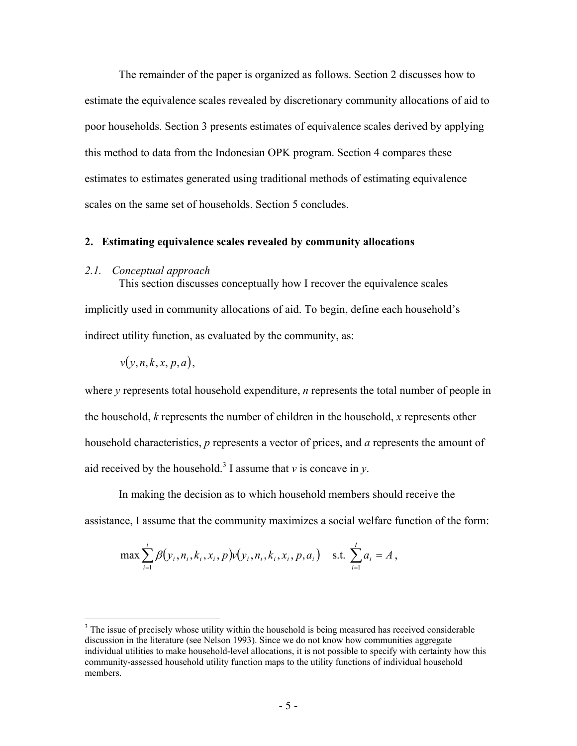The remainder of the paper is organized as follows. Section 2 discusses how to estimate the equivalence scales revealed by discretionary community allocations of aid to poor households. Section 3 presents estimates of equivalence scales derived by applying this method to data from the Indonesian OPK program. Section 4 compares these estimates to estimates generated using traditional methods of estimating equivalence scales on the same set of households. Section 5 concludes.

#### **2. Estimating equivalence scales revealed by community allocations**

#### *2.1. Conceptual approach*

This section discusses conceptually how I recover the equivalence scales implicitly used in community allocations of aid. To begin, define each household's indirect utility function, as evaluated by the community, as:

$$
v(y, n, k, x, p, a),
$$

 $\overline{a}$ 

where *y* represents total household expenditure, *n* represents the total number of people in the household, *k* represents the number of children in the household, *x* represents other household characteristics, *p* represents a vector of prices, and *a* represents the amount of aid received by the household.<sup>3</sup> I assume that  $\nu$  is concave in  $\nu$ .

 In making the decision as to which household members should receive the assistance, I assume that the community maximizes a social welfare function of the form:

$$
\max \sum_{i=1}^{i} \beta(y_i, n_i, k_i, x_i, p) v(y_i, n_i, k_i, x_i, p, a_i) \quad \text{s.t. } \sum_{i=1}^{I} a_i = A,
$$

 $3$  The issue of precisely whose utility within the household is being measured has received considerable discussion in the literature (see Nelson 1993). Since we do not know how communities aggregate individual utilities to make household-level allocations, it is not possible to specify with certainty how this community-assessed household utility function maps to the utility functions of individual household members.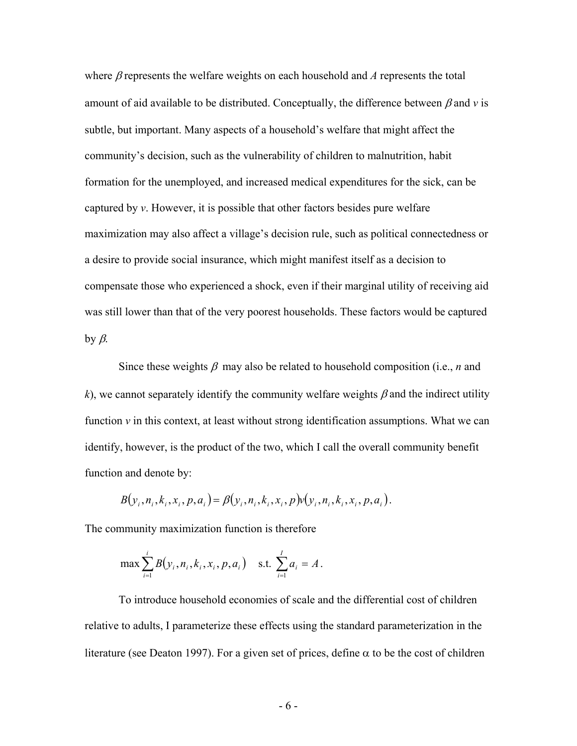where β represents the welfare weights on each household and *A* represents the total amount of aid available to be distributed. Conceptually, the difference between  $\beta$  and  $\nu$  is subtle, but important. Many aspects of a household's welfare that might affect the community's decision, such as the vulnerability of children to malnutrition, habit formation for the unemployed, and increased medical expenditures for the sick, can be captured by *v*. However, it is possible that other factors besides pure welfare maximization may also affect a village's decision rule, such as political connectedness or a desire to provide social insurance, which might manifest itself as a decision to compensate those who experienced a shock, even if their marginal utility of receiving aid was still lower than that of the very poorest households. These factors would be captured by β.

Since these weights  $\beta$  may also be related to household composition (i.e., *n* and *k*), we cannot separately identify the community welfare weights  $\beta$  and the indirect utility function  $\nu$  in this context, at least without strong identification assumptions. What we can identify, however, is the product of the two, which I call the overall community benefit function and denote by:

$$
B(y_i, n_i, k_i, x_i, p, a_i) = \beta(y_i, n_i, k_i, x_i, p)v(y_i, n_i, k_i, x_i, p, a_i).
$$

The community maximization function is therefore

$$
\max \sum_{i=1}^{i} B(y_i, n_i, k_i, x_i, p, a_i) \quad \text{s.t. } \sum_{i=1}^{I} a_i = A.
$$

To introduce household economies of scale and the differential cost of children relative to adults, I parameterize these effects using the standard parameterization in the literature (see Deaton 1997). For a given set of prices, define  $\alpha$  to be the cost of children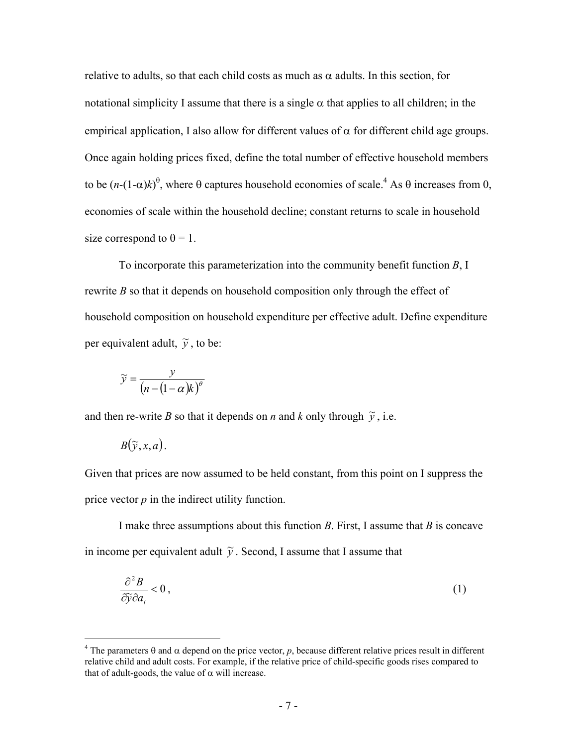relative to adults, so that each child costs as much as  $\alpha$  adults. In this section, for notational simplicity I assume that there is a single  $\alpha$  that applies to all children; in the empirical application, I also allow for different values of  $\alpha$  for different child age groups. Once again holding prices fixed, define the total number of effective household members to be  $(n-(1-\alpha)k)^{\theta}$ , where  $\theta$  captures household economies of scale.<sup>4</sup> As  $\theta$  increases from 0, economies of scale within the household decline; constant returns to scale in household size correspond to  $\theta = 1$ .

To incorporate this parameterization into the community benefit function *B*, I rewrite *B* so that it depends on household composition only through the effect of household composition on household expenditure per effective adult. Define expenditure per equivalent adult,  $\tilde{y}$ , to be:

$$
\widetilde{y} = \frac{y}{\left(n - (1 - \alpha)k\right)^{\theta}}
$$

and then re-write *B* so that it depends on *n* and *k* only through  $\tilde{y}$ , i.e.

$$
B(\widetilde{y},x,a).
$$

1

Given that prices are now assumed to be held constant, from this point on I suppress the price vector  $p$  in the indirect utility function.

 I make three assumptions about this function *B*. First, I assume that *B* is concave in income per equivalent adult  $\tilde{y}$ . Second, I assume that I assume that

$$
\frac{\partial^2 B}{\partial \tilde{y}\partial a_i} < 0\,,\tag{1}
$$

<sup>&</sup>lt;sup>4</sup> The parameters  $\theta$  and  $\alpha$  depend on the price vector, p, because different relative prices result in different relative child and adult costs. For example, if the relative price of child-specific goods rises compared to that of adult-goods, the value of  $\alpha$  will increase.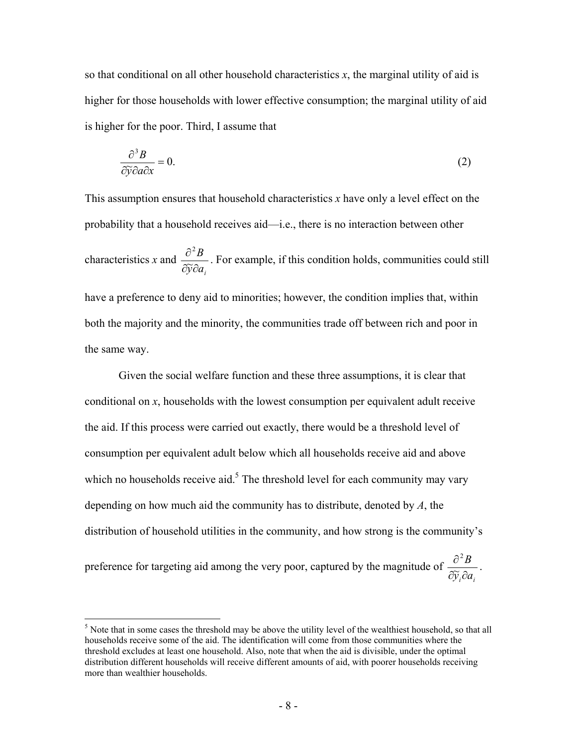so that conditional on all other household characteristics *x*, the marginal utility of aid is higher for those households with lower effective consumption; the marginal utility of aid is higher for the poor. Third, I assume that

$$
\frac{\partial^3 B}{\partial \tilde{y} \partial a \partial x} = 0. \tag{2}
$$

This assumption ensures that household characteristics *x* have only a level effect on the probability that a household receives aid—i.e., there is no interaction between other characteristics *x* and  $\widetilde{y}$ ∂a<sub>i</sub> *B* ∂⊽∂ ∂  $\overline{\widetilde{\kappa}}$ 2 . For example, if this condition holds, communities could still have a preference to deny aid to minorities; however, the condition implies that, within both the majority and the minority, the communities trade off between rich and poor in the same way.

Given the social welfare function and these three assumptions, it is clear that conditional on *x*, households with the lowest consumption per equivalent adult receive the aid. If this process were carried out exactly, there would be a threshold level of consumption per equivalent adult below which all households receive aid and above which no households receive aid.<sup>5</sup> The threshold level for each community may vary depending on how much aid the community has to distribute, denoted by *A*, the distribution of household utilities in the community, and how strong is the community's

preference for targeting aid among the very poor, captured by the magnitude of  $\widetilde{y}_i$ ∂a<sub>i</sub> *B*  $\partial\widetilde y_i\partial$ ∂  $\overline{\widetilde{\mathbf{r}}}$ 2 .

1

 $<sup>5</sup>$  Note that in some cases the threshold may be above the utility level of the wealthiest household, so that all</sup> households receive some of the aid. The identification will come from those communities where the threshold excludes at least one household. Also, note that when the aid is divisible, under the optimal distribution different households will receive different amounts of aid, with poorer households receiving more than wealthier households.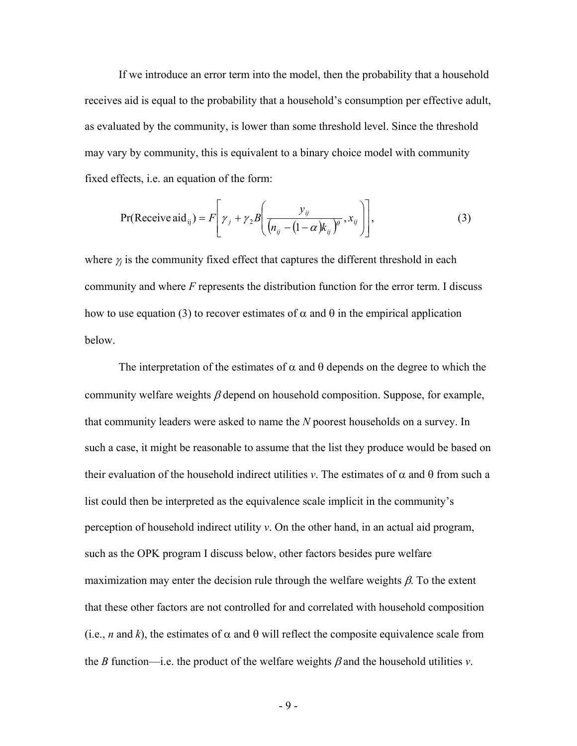If we introduce an error term into the model, then the probability that a household receives aid is equal to the probability that a household's consumption per effective adult, as evaluated by the community, is lower than some threshold level. Since the threshold may vary by community, this is equivalent to a binary choice model with community fixed effects, i.e. an equation of the form:

$$
Pr(\text{Receive aid}_{ij}) = F\left[\gamma_j + \gamma_2 B\left(\frac{\gamma_{ij}}{(n_{ij} - (1 - \alpha)k_{ij})^{\theta}}, x_{ij}\right)\right],
$$
 (3)

where  $\gamma_i$  is the community fixed effect that captures the different threshold in each community and where *F* represents the distribution function for the error term. I discuss how to use equation (3) to recover estimates of  $\alpha$  and  $\theta$  in the empirical application below.

The interpretation of the estimates of  $\alpha$  and  $\theta$  depends on the degree to which the community welfare weights  $\beta$  depend on household composition. Suppose, for example, that community leaders were asked to name the *N* poorest households on a survey. In such a case, it might be reasonable to assume that the list they produce would be based on their evaluation of the household indirect utilities *v*. The estimates of  $\alpha$  and  $\theta$  from such a list could then be interpreted as the equivalence scale implicit in the community's perception of household indirect utility *v*. On the other hand, in an actual aid program, such as the OPK program I discuss below, other factors besides pure welfare maximization may enter the decision rule through the welfare weights  $\beta$ . To the extent that these other factors are not controlled for and correlated with household composition (i.e., *n* and *k*), the estimates of  $\alpha$  and  $\theta$  will reflect the composite equivalence scale from the *B* function—i.e. the product of the welfare weights  $\beta$  and the household utilities *v*.

 $- 9 -$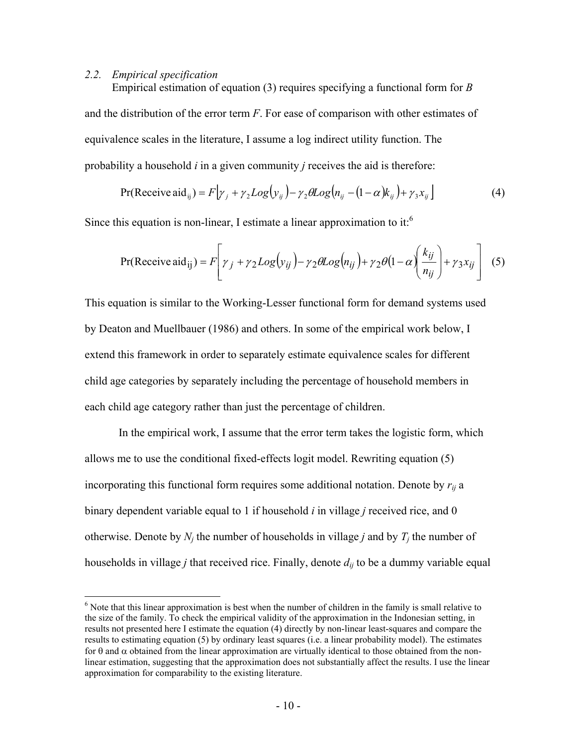#### *2.2. Empirical specification*

 $\overline{a}$ 

Empirical estimation of equation (3) requires specifying a functional form for *B* and the distribution of the error term *F*. For ease of comparison with other estimates of equivalence scales in the literature, I assume a log indirect utility function. The probability a household *i* in a given community *j* receives the aid is therefore:

$$
Pr(\text{Receive aid}_{ij}) = F[\gamma_j + \gamma_2 Log(y_{ij}) - \gamma_2 GLog(n_{ij} - (1 - \alpha)k_{ij}) + \gamma_3 x_{ij}]
$$
\n
$$
(4)
$$

Since this equation is non-linear, I estimate a linear approximation to it.<sup>6</sup>

$$
Pr(\text{Receive aid}_{ij}) = F\left[\gamma_j + \gamma_2 Log(y_{ij}) - \gamma_2 GLog(n_{ij}) + \gamma_2 \theta (1 - \alpha) \left(\frac{k_{ij}}{n_{ij}}\right) + \gamma_3 x_{ij}\right] \tag{5}
$$

This equation is similar to the Working-Lesser functional form for demand systems used by Deaton and Muellbauer (1986) and others. In some of the empirical work below, I extend this framework in order to separately estimate equivalence scales for different child age categories by separately including the percentage of household members in each child age category rather than just the percentage of children.

 In the empirical work, I assume that the error term takes the logistic form, which allows me to use the conditional fixed-effects logit model. Rewriting equation (5) incorporating this functional form requires some additional notation. Denote by  $r_{ij}$  a binary dependent variable equal to 1 if household *i* in village *j* received rice, and 0 otherwise. Denote by  $N_i$  the number of households in village *j* and by  $T_i$  the number of households in village *j* that received rice. Finally, denote *dij* to be a dummy variable equal

<sup>&</sup>lt;sup>6</sup> Note that this linear approximation is best when the number of children in the family is small relative to the size of the family. To check the empirical validity of the approximation in the Indonesian setting, in results not presented here I estimate the equation (4) directly by non-linear least-squares and compare the results to estimating equation (5) by ordinary least squares (i.e. a linear probability model). The estimates for θ and α obtained from the linear approximation are virtually identical to those obtained from the nonlinear estimation, suggesting that the approximation does not substantially affect the results. I use the linear approximation for comparability to the existing literature.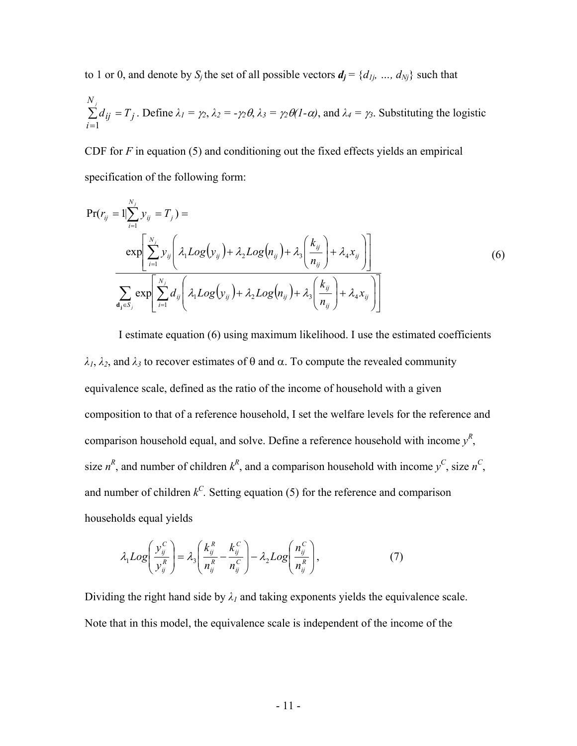to 1 or 0, and denote by  $S_j$  the set of all possible vectors  $d_j = \{d_{1j}, ..., d_{Nj}\}\$  such that

$$
\sum_{i=1}^{N_j} d_{ij} = T_j
$$
. Define  $\lambda_1 = \gamma_2$ ,  $\lambda_2 = -\gamma_2 \theta$ ,  $\lambda_3 = \gamma_2 \theta (1 - \alpha)$ , and  $\lambda_4 = \gamma_3$ . Substituting the logistic

CDF for *F* in equation (5) and conditioning out the fixed effects yields an empirical specification of the following form:

$$
Pr(r_{ij} = 1 | \sum_{i=1}^{N_j} y_{ij} = T_j) =
$$
  
\n
$$
exp\left[\sum_{i=1}^{N_j} y_{ij} \left(\lambda_1 Log(y_{ij}) + \lambda_2 Log(n_{ij}) + \lambda_3 \left(\frac{k_{ij}}{n_{ij}}\right) + \lambda_4 x_{ij}\right)\right]
$$
  
\n
$$
\sum_{\mathbf{d_j} \in S_j} exp\left[\sum_{i=1}^{N_j} d_{ij} \left(\lambda_1 Log(y_{ij}) + \lambda_2 Log(n_{ij}) + \lambda_3 \left(\frac{k_{ij}}{n_{ij}}\right) + \lambda_4 x_{ij}\right)\right]
$$
  
\n(6)

I estimate equation (6) using maximum likelihood. I use the estimated coefficients *λ1*, *λ2*, and *λ3* to recover estimates of θ and α. To compute the revealed community equivalence scale, defined as the ratio of the income of household with a given composition to that of a reference household, I set the welfare levels for the reference and comparison household equal, and solve. Define a reference household with income  $y^R$ , size  $n^R$ , and number of children  $k^R$ , and a comparison household with income  $y^C$ , size  $n^C$ , and number of children  $k^C$ . Setting equation (5) for the reference and comparison households equal yields

$$
\lambda_1 Log\left(\frac{y_{ij}^C}{y_{ij}^R}\right) = \lambda_3 \left(\frac{k_{ij}^R}{n_{ij}^R} - \frac{k_{ij}^C}{n_{ij}^C}\right) - \lambda_2 Log\left(\frac{n_{ij}^C}{n_{ij}^R}\right),\tag{7}
$$

Dividing the right hand side by  $\lambda_l$  and taking exponents yields the equivalence scale. Note that in this model, the equivalence scale is independent of the income of the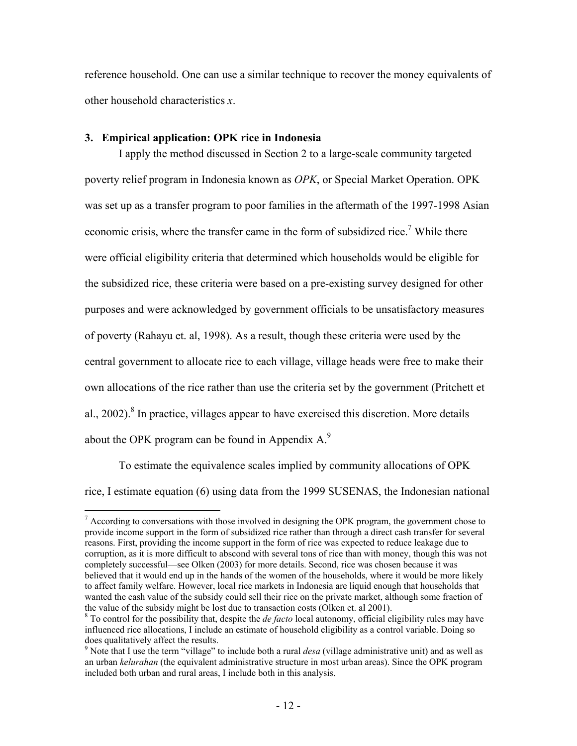reference household. One can use a similar technique to recover the money equivalents of other household characteristics *x*.

#### **3. Empirical application: OPK rice in Indonesia**

 $\overline{a}$ 

I apply the method discussed in Section 2 to a large-scale community targeted poverty relief program in Indonesia known as *OPK*, or Special Market Operation. OPK was set up as a transfer program to poor families in the aftermath of the 1997-1998 Asian economic crisis, where the transfer came in the form of subsidized rice.<sup>7</sup> While there were official eligibility criteria that determined which households would be eligible for the subsidized rice, these criteria were based on a pre-existing survey designed for other purposes and were acknowledged by government officials to be unsatisfactory measures of poverty (Rahayu et. al, 1998). As a result, though these criteria were used by the central government to allocate rice to each village, village heads were free to make their own allocations of the rice rather than use the criteria set by the government (Pritchett et al.,  $2002$ ).<sup>8</sup> In practice, villages appear to have exercised this discretion. More details about the OPK program can be found in Appendix  $A<sup>9</sup>$ .

To estimate the equivalence scales implied by community allocations of OPK rice, I estimate equation (6) using data from the 1999 SUSENAS, the Indonesian national

 $<sup>7</sup>$  According to conversations with those involved in designing the OPK program, the government chose to</sup> provide income support in the form of subsidized rice rather than through a direct cash transfer for several reasons. First, providing the income support in the form of rice was expected to reduce leakage due to corruption, as it is more difficult to abscond with several tons of rice than with money, though this was not completely successful—see Olken (2003) for more details. Second, rice was chosen because it was believed that it would end up in the hands of the women of the households, where it would be more likely to affect family welfare. However, local rice markets in Indonesia are liquid enough that households that wanted the cash value of the subsidy could sell their rice on the private market, although some fraction of the value of the subsidy might be lost due to transaction costs (Olken et. al 2001).

To control for the possibility that, despite the *de facto* local autonomy, official eligibility rules may have influenced rice allocations, I include an estimate of household eligibility as a control variable. Doing so does qualitatively affect the results.

<sup>9</sup> Note that I use the term "village" to include both a rural *desa* (village administrative unit) and as well as an urban *kelurahan* (the equivalent administrative structure in most urban areas). Since the OPK program included both urban and rural areas, I include both in this analysis.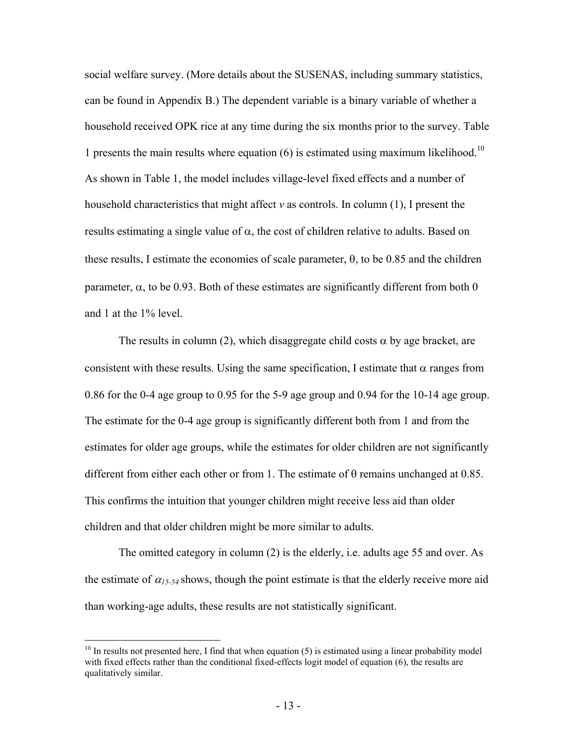social welfare survey. (More details about the SUSENAS, including summary statistics, can be found in Appendix B.) The dependent variable is a binary variable of whether a household received OPK rice at any time during the six months prior to the survey. Table 1 presents the main results where equation  $(6)$  is estimated using maximum likelihood.<sup>10</sup> As shown in Table 1, the model includes village-level fixed effects and a number of household characteristics that might affect *v* as controls. In column (1), I present the results estimating a single value of  $\alpha$ , the cost of children relative to adults. Based on these results, I estimate the economies of scale parameter,  $\theta$ , to be 0.85 and the children parameter,  $\alpha$ , to be 0.93. Both of these estimates are significantly different from both 0 and 1 at the 1% level.

The results in column (2), which disaggregate child costs  $\alpha$  by age bracket, are consistent with these results. Using the same specification, I estimate that  $\alpha$  ranges from 0.86 for the 0-4 age group to 0.95 for the 5-9 age group and 0.94 for the 10-14 age group. The estimate for the 0-4 age group is significantly different both from 1 and from the estimates for older age groups, while the estimates for older children are not significantly different from either each other or from 1. The estimate of  $\theta$  remains unchanged at 0.85. This confirms the intuition that younger children might receive less aid than older children and that older children might be more similar to adults.

The omitted category in column (2) is the elderly, i.e. adults age 55 and over. As the estimate of  $\alpha_{15-54}$  shows, though the point estimate is that the elderly receive more aid than working-age adults, these results are not statistically significant.

 $\overline{a}$ 

 $10$  In results not presented here, I find that when equation (5) is estimated using a linear probability model with fixed effects rather than the conditional fixed-effects logit model of equation (6), the results are qualitatively similar.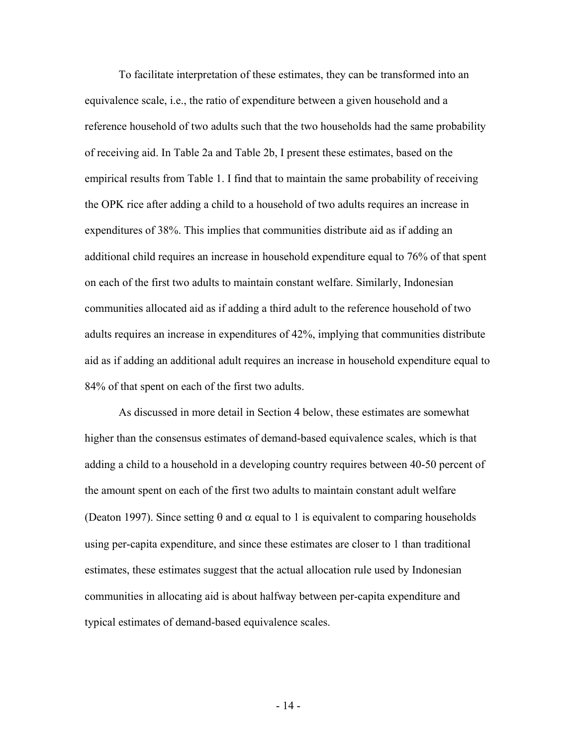To facilitate interpretation of these estimates, they can be transformed into an equivalence scale, i.e., the ratio of expenditure between a given household and a reference household of two adults such that the two households had the same probability of receiving aid. In Table 2a and Table 2b, I present these estimates, based on the empirical results from Table 1. I find that to maintain the same probability of receiving the OPK rice after adding a child to a household of two adults requires an increase in expenditures of 38%. This implies that communities distribute aid as if adding an additional child requires an increase in household expenditure equal to 76% of that spent on each of the first two adults to maintain constant welfare. Similarly, Indonesian communities allocated aid as if adding a third adult to the reference household of two adults requires an increase in expenditures of 42%, implying that communities distribute aid as if adding an additional adult requires an increase in household expenditure equal to 84% of that spent on each of the first two adults.

As discussed in more detail in Section 4 below, these estimates are somewhat higher than the consensus estimates of demand-based equivalence scales, which is that adding a child to a household in a developing country requires between 40-50 percent of the amount spent on each of the first two adults to maintain constant adult welfare (Deaton 1997). Since setting  $\theta$  and  $\alpha$  equal to 1 is equivalent to comparing households using per-capita expenditure, and since these estimates are closer to 1 than traditional estimates, these estimates suggest that the actual allocation rule used by Indonesian communities in allocating aid is about halfway between per-capita expenditure and typical estimates of demand-based equivalence scales.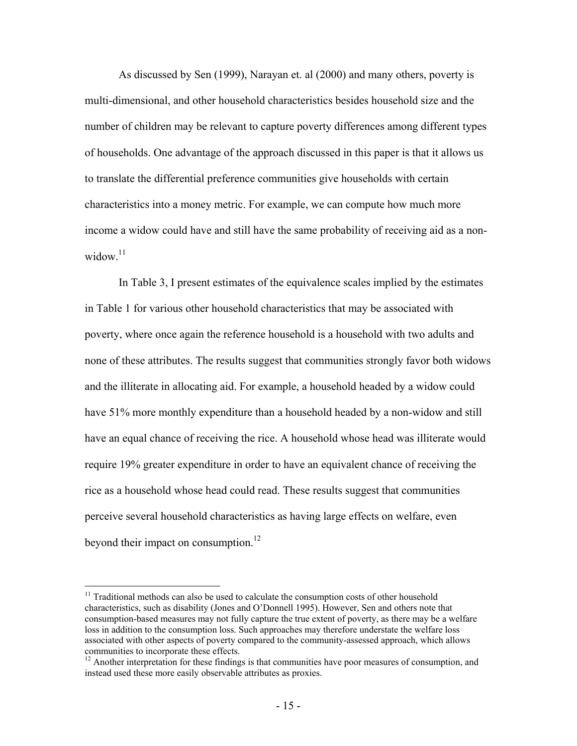As discussed by Sen (1999), Narayan et. al (2000) and many others, poverty is multi-dimensional, and other household characteristics besides household size and the number of children may be relevant to capture poverty differences among different types of households. One advantage of the approach discussed in this paper is that it allows us to translate the differential preference communities give households with certain characteristics into a money metric. For example, we can compute how much more income a widow could have and still have the same probability of receiving aid as a nonwidow $11$ 

In Table 3, I present estimates of the equivalence scales implied by the estimates in Table 1 for various other household characteristics that may be associated with poverty, where once again the reference household is a household with two adults and none of these attributes. The results suggest that communities strongly favor both widows and the illiterate in allocating aid. For example, a household headed by a widow could have 51% more monthly expenditure than a household headed by a non-widow and still have an equal chance of receiving the rice. A household whose head was illiterate would require 19% greater expenditure in order to have an equivalent chance of receiving the rice as a household whose head could read. These results suggest that communities perceive several household characteristics as having large effects on welfare, even beyond their impact on consumption. $^{12}$ 

 $\overline{a}$ 

 $11$  Traditional methods can also be used to calculate the consumption costs of other household characteristics, such as disability (Jones and O'Donnell 1995). However, Sen and others note that consumption-based measures may not fully capture the true extent of poverty, as there may be a welfare loss in addition to the consumption loss. Such approaches may therefore understate the welfare loss associated with other aspects of poverty compared to the community-assessed approach, which allows communities to incorporate these effects.

<sup>&</sup>lt;sup>12</sup> Another interpretation for these findings is that communities have poor measures of consumption, and instead used these more easily observable attributes as proxies.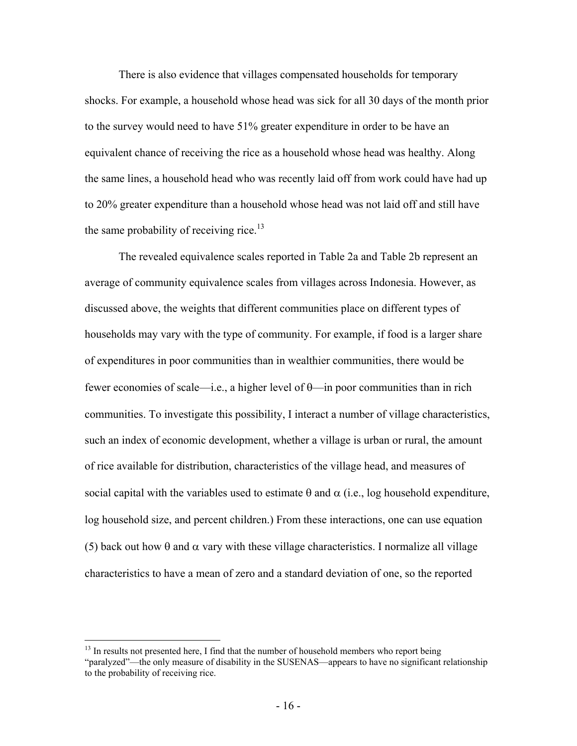There is also evidence that villages compensated households for temporary shocks. For example, a household whose head was sick for all 30 days of the month prior to the survey would need to have 51% greater expenditure in order to be have an equivalent chance of receiving the rice as a household whose head was healthy. Along the same lines, a household head who was recently laid off from work could have had up to 20% greater expenditure than a household whose head was not laid off and still have the same probability of receiving rice.<sup>13</sup>

 The revealed equivalence scales reported in Table 2a and Table 2b represent an average of community equivalence scales from villages across Indonesia. However, as discussed above, the weights that different communities place on different types of households may vary with the type of community. For example, if food is a larger share of expenditures in poor communities than in wealthier communities, there would be fewer economies of scale—i.e., a higher level of θ—in poor communities than in rich communities. To investigate this possibility, I interact a number of village characteristics, such an index of economic development, whether a village is urban or rural, the amount of rice available for distribution, characteristics of the village head, and measures of social capital with the variables used to estimate  $\theta$  and  $\alpha$  (i.e., log household expenditure, log household size, and percent children.) From these interactions, one can use equation (5) back out how  $\theta$  and  $\alpha$  vary with these village characteristics. I normalize all village characteristics to have a mean of zero and a standard deviation of one, so the reported

1

<sup>&</sup>lt;sup>13</sup> In results not presented here, I find that the number of household members who report being "paralyzed"—the only measure of disability in the SUSENAS—appears to have no significant relationship to the probability of receiving rice.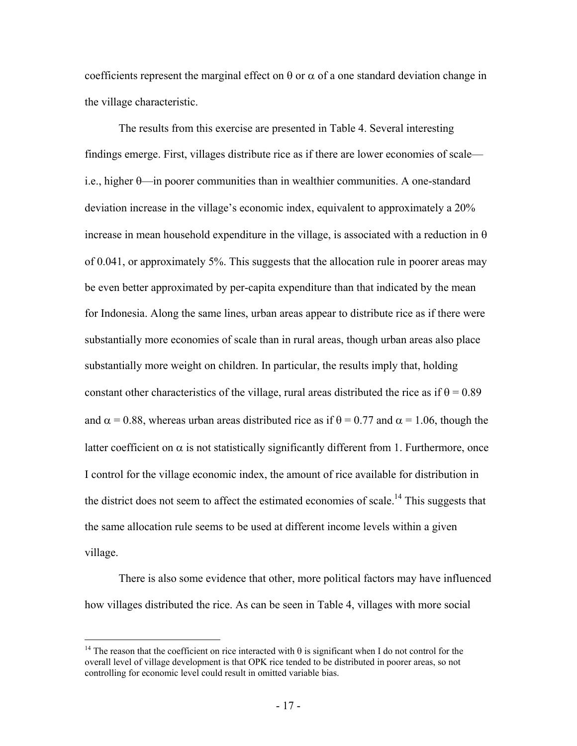coefficients represent the marginal effect on  $\theta$  or  $\alpha$  of a one standard deviation change in the village characteristic.

 The results from this exercise are presented in Table 4. Several interesting findings emerge. First, villages distribute rice as if there are lower economies of scale i.e., higher θ—in poorer communities than in wealthier communities. A one-standard deviation increase in the village's economic index, equivalent to approximately a 20% increase in mean household expenditure in the village, is associated with a reduction in  $\theta$ of 0.041, or approximately 5%. This suggests that the allocation rule in poorer areas may be even better approximated by per-capita expenditure than that indicated by the mean for Indonesia. Along the same lines, urban areas appear to distribute rice as if there were substantially more economies of scale than in rural areas, though urban areas also place substantially more weight on children. In particular, the results imply that, holding constant other characteristics of the village, rural areas distributed the rice as if  $\theta = 0.89$ and  $\alpha$  = 0.88, whereas urban areas distributed rice as if  $\theta$  = 0.77 and  $\alpha$  = 1.06, though the latter coefficient on  $\alpha$  is not statistically significantly different from 1. Furthermore, once I control for the village economic index, the amount of rice available for distribution in the district does not seem to affect the estimated economies of scale.<sup>14</sup> This suggests that the same allocation rule seems to be used at different income levels within a given village.

There is also some evidence that other, more political factors may have influenced how villages distributed the rice. As can be seen in Table 4, villages with more social

 $\overline{a}$ 

<sup>&</sup>lt;sup>14</sup> The reason that the coefficient on rice interacted with  $\theta$  is significant when I do not control for the overall level of village development is that OPK rice tended to be distributed in poorer areas, so not controlling for economic level could result in omitted variable bias.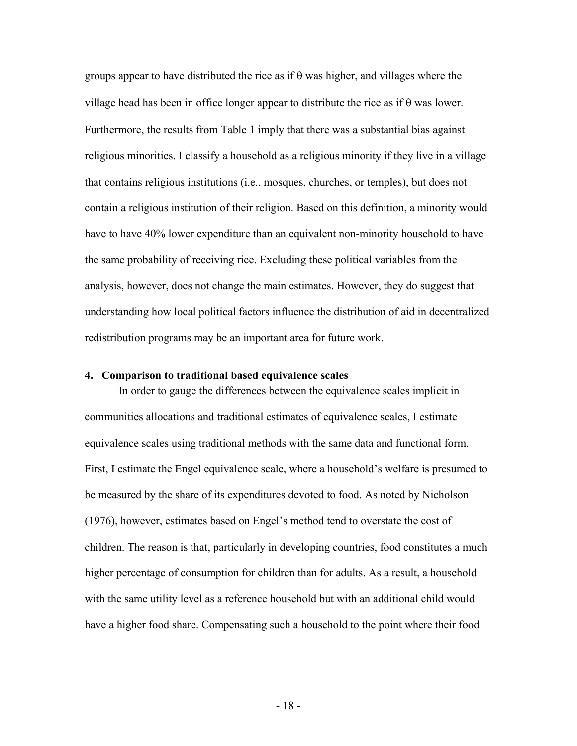groups appear to have distributed the rice as if  $\theta$  was higher, and villages where the village head has been in office longer appear to distribute the rice as if θ was lower. Furthermore, the results from Table 1 imply that there was a substantial bias against religious minorities. I classify a household as a religious minority if they live in a village that contains religious institutions (i.e., mosques, churches, or temples), but does not contain a religious institution of their religion. Based on this definition, a minority would have to have 40% lower expenditure than an equivalent non-minority household to have the same probability of receiving rice. Excluding these political variables from the analysis, however, does not change the main estimates. However, they do suggest that understanding how local political factors influence the distribution of aid in decentralized redistribution programs may be an important area for future work.

#### **4. Comparison to traditional based equivalence scales**

In order to gauge the differences between the equivalence scales implicit in communities allocations and traditional estimates of equivalence scales, I estimate equivalence scales using traditional methods with the same data and functional form. First, I estimate the Engel equivalence scale, where a household's welfare is presumed to be measured by the share of its expenditures devoted to food. As noted by Nicholson (1976), however, estimates based on Engel's method tend to overstate the cost of children. The reason is that, particularly in developing countries, food constitutes a much higher percentage of consumption for children than for adults. As a result, a household with the same utility level as a reference household but with an additional child would have a higher food share. Compensating such a household to the point where their food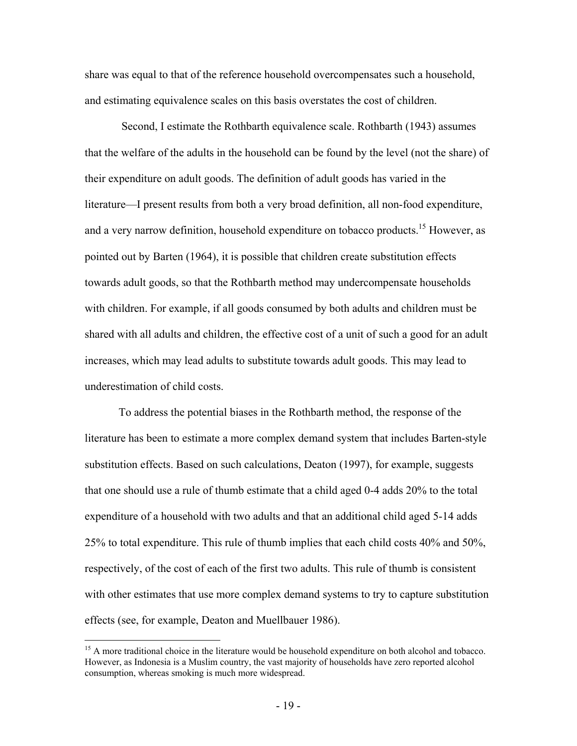share was equal to that of the reference household overcompensates such a household, and estimating equivalence scales on this basis overstates the cost of children.

 Second, I estimate the Rothbarth equivalence scale. Rothbarth (1943) assumes that the welfare of the adults in the household can be found by the level (not the share) of their expenditure on adult goods. The definition of adult goods has varied in the literature—I present results from both a very broad definition, all non-food expenditure, and a very narrow definition, household expenditure on tobacco products.<sup>15</sup> However, as pointed out by Barten (1964), it is possible that children create substitution effects towards adult goods, so that the Rothbarth method may undercompensate households with children. For example, if all goods consumed by both adults and children must be shared with all adults and children, the effective cost of a unit of such a good for an adult increases, which may lead adults to substitute towards adult goods. This may lead to underestimation of child costs.

To address the potential biases in the Rothbarth method, the response of the literature has been to estimate a more complex demand system that includes Barten-style substitution effects. Based on such calculations, Deaton (1997), for example, suggests that one should use a rule of thumb estimate that a child aged 0-4 adds 20% to the total expenditure of a household with two adults and that an additional child aged 5-14 adds 25% to total expenditure. This rule of thumb implies that each child costs 40% and 50%, respectively, of the cost of each of the first two adults. This rule of thumb is consistent with other estimates that use more complex demand systems to try to capture substitution effects (see, for example, Deaton and Muellbauer 1986).

1

<sup>&</sup>lt;sup>15</sup> A more traditional choice in the literature would be household expenditure on both alcohol and tobacco. However, as Indonesia is a Muslim country, the vast majority of households have zero reported alcohol consumption, whereas smoking is much more widespread.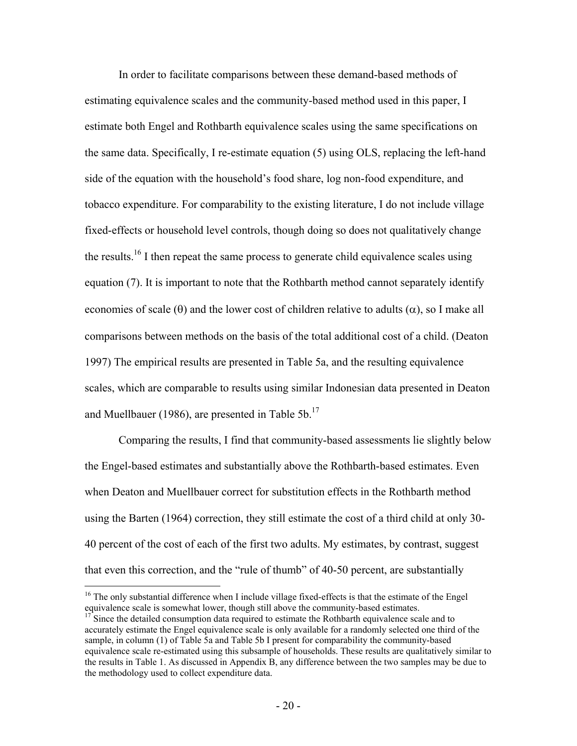In order to facilitate comparisons between these demand-based methods of estimating equivalence scales and the community-based method used in this paper, I estimate both Engel and Rothbarth equivalence scales using the same specifications on the same data. Specifically, I re-estimate equation (5) using OLS, replacing the left-hand side of the equation with the household's food share, log non-food expenditure, and tobacco expenditure. For comparability to the existing literature, I do not include village fixed-effects or household level controls, though doing so does not qualitatively change the results.<sup>16</sup> I then repeat the same process to generate child equivalence scales using equation (7). It is important to note that the Rothbarth method cannot separately identify economies of scale ( $\theta$ ) and the lower cost of children relative to adults ( $\alpha$ ), so I make all comparisons between methods on the basis of the total additional cost of a child. (Deaton 1997) The empirical results are presented in Table 5a, and the resulting equivalence scales, which are comparable to results using similar Indonesian data presented in Deaton and Muellbauer (1986), are presented in Table 5b. $^{17}$ 

Comparing the results, I find that community-based assessments lie slightly below the Engel-based estimates and substantially above the Rothbarth-based estimates. Even when Deaton and Muellbauer correct for substitution effects in the Rothbarth method using the Barten (1964) correction, they still estimate the cost of a third child at only 30- 40 percent of the cost of each of the first two adults. My estimates, by contrast, suggest that even this correction, and the "rule of thumb" of 40-50 percent, are substantially

1

<sup>&</sup>lt;sup>16</sup> The only substantial difference when I include village fixed-effects is that the estimate of the Engel equivalence scale is somewhat lower, though still above the community-based estimates.

<sup>17</sup> Since the detailed consumption data required to estimate the Rothbarth equivalence scale and to accurately estimate the Engel equivalence scale is only available for a randomly selected one third of the sample, in column (1) of Table 5a and Table 5b I present for comparability the community-based equivalence scale re-estimated using this subsample of households. These results are qualitatively similar to the results in Table 1. As discussed in Appendix B, any difference between the two samples may be due to the methodology used to collect expenditure data.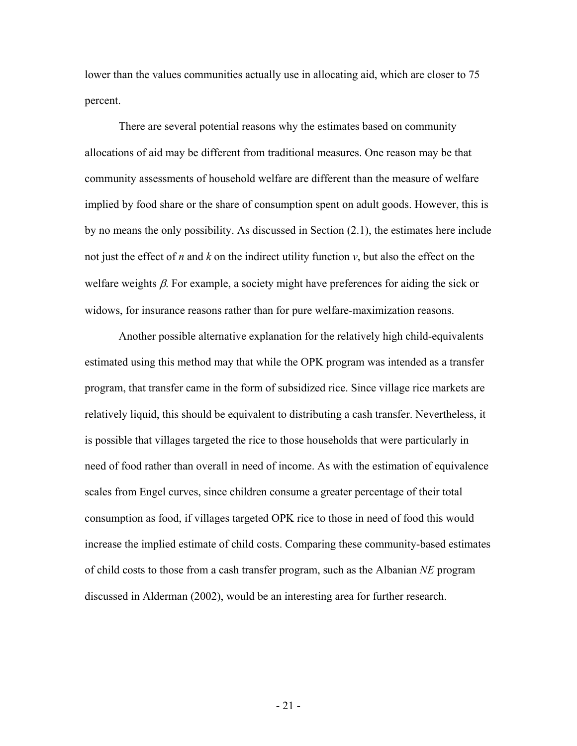lower than the values communities actually use in allocating aid, which are closer to 75 percent.

There are several potential reasons why the estimates based on community allocations of aid may be different from traditional measures. One reason may be that community assessments of household welfare are different than the measure of welfare implied by food share or the share of consumption spent on adult goods. However, this is by no means the only possibility. As discussed in Section (2.1), the estimates here include not just the effect of *n* and *k* on the indirect utility function *v*, but also the effect on the welfare weights  $\beta$ . For example, a society might have preferences for aiding the sick or widows, for insurance reasons rather than for pure welfare-maximization reasons.

Another possible alternative explanation for the relatively high child-equivalents estimated using this method may that while the OPK program was intended as a transfer program, that transfer came in the form of subsidized rice. Since village rice markets are relatively liquid, this should be equivalent to distributing a cash transfer. Nevertheless, it is possible that villages targeted the rice to those households that were particularly in need of food rather than overall in need of income. As with the estimation of equivalence scales from Engel curves, since children consume a greater percentage of their total consumption as food, if villages targeted OPK rice to those in need of food this would increase the implied estimate of child costs. Comparing these community-based estimates of child costs to those from a cash transfer program, such as the Albanian *NE* program discussed in Alderman (2002), would be an interesting area for further research.

 $-21$  -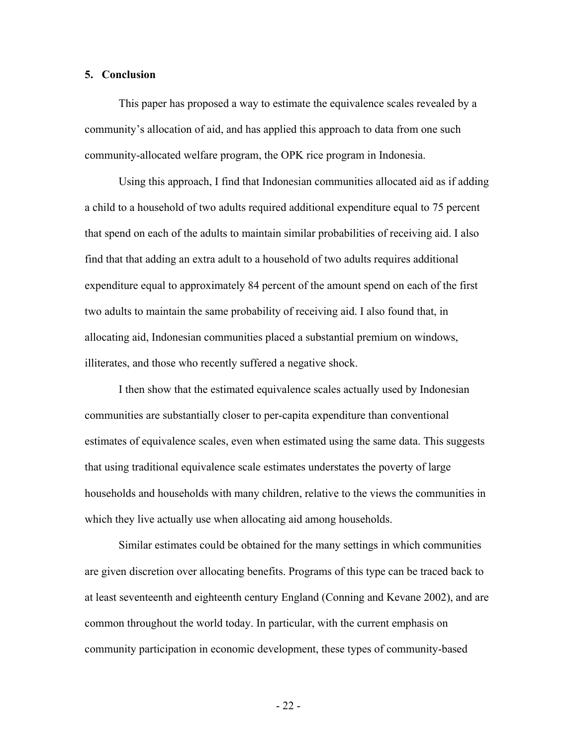#### **5. Conclusion**

This paper has proposed a way to estimate the equivalence scales revealed by a community's allocation of aid, and has applied this approach to data from one such community-allocated welfare program, the OPK rice program in Indonesia.

Using this approach, I find that Indonesian communities allocated aid as if adding a child to a household of two adults required additional expenditure equal to 75 percent that spend on each of the adults to maintain similar probabilities of receiving aid. I also find that that adding an extra adult to a household of two adults requires additional expenditure equal to approximately 84 percent of the amount spend on each of the first two adults to maintain the same probability of receiving aid. I also found that, in allocating aid, Indonesian communities placed a substantial premium on windows, illiterates, and those who recently suffered a negative shock.

I then show that the estimated equivalence scales actually used by Indonesian communities are substantially closer to per-capita expenditure than conventional estimates of equivalence scales, even when estimated using the same data. This suggests that using traditional equivalence scale estimates understates the poverty of large households and households with many children, relative to the views the communities in which they live actually use when allocating aid among households.

Similar estimates could be obtained for the many settings in which communities are given discretion over allocating benefits. Programs of this type can be traced back to at least seventeenth and eighteenth century England (Conning and Kevane 2002), and are common throughout the world today. In particular, with the current emphasis on community participation in economic development, these types of community-based

 $-22$  -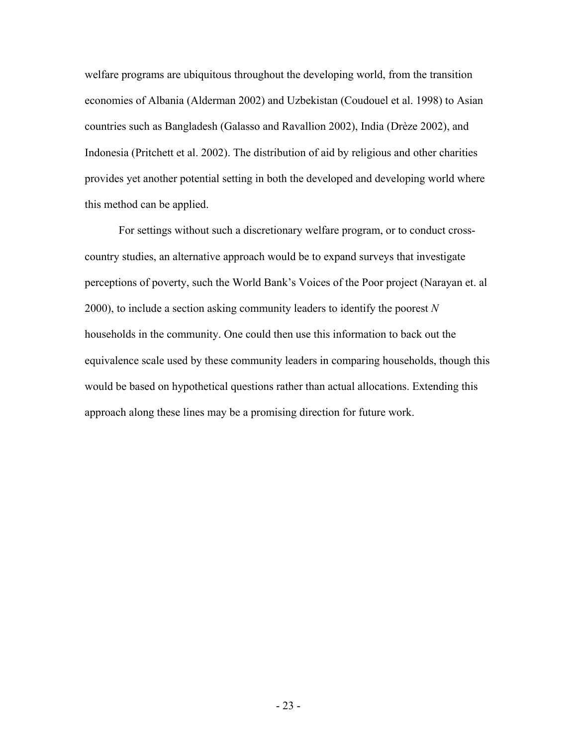welfare programs are ubiquitous throughout the developing world, from the transition economies of Albania (Alderman 2002) and Uzbekistan (Coudouel et al. 1998) to Asian countries such as Bangladesh (Galasso and Ravallion 2002), India (Drèze 2002), and Indonesia (Pritchett et al. 2002). The distribution of aid by religious and other charities provides yet another potential setting in both the developed and developing world where this method can be applied.

For settings without such a discretionary welfare program, or to conduct crosscountry studies, an alternative approach would be to expand surveys that investigate perceptions of poverty, such the World Bank's Voices of the Poor project (Narayan et. al 2000), to include a section asking community leaders to identify the poorest *N* households in the community. One could then use this information to back out the equivalence scale used by these community leaders in comparing households, though this would be based on hypothetical questions rather than actual allocations. Extending this approach along these lines may be a promising direction for future work.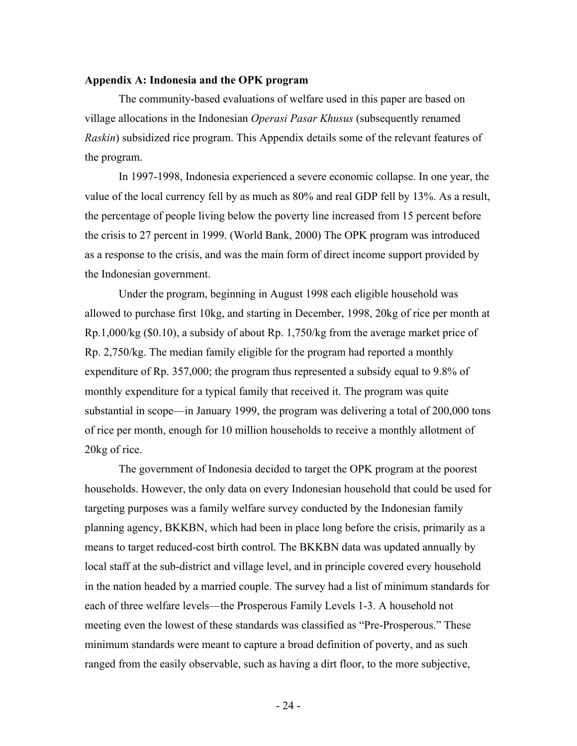#### **Appendix A: Indonesia and the OPK program**

The community-based evaluations of welfare used in this paper are based on village allocations in the Indonesian *Operasi Pasar Khusus* (subsequently renamed *Raskin*) subsidized rice program. This Appendix details some of the relevant features of the program.

In 1997-1998, Indonesia experienced a severe economic collapse. In one year, the value of the local currency fell by as much as 80% and real GDP fell by 13%. As a result, the percentage of people living below the poverty line increased from 15 percent before the crisis to 27 percent in 1999. (World Bank, 2000) The OPK program was introduced as a response to the crisis, and was the main form of direct income support provided by the Indonesian government.

Under the program, beginning in August 1998 each eligible household was allowed to purchase first 10kg, and starting in December, 1998, 20kg of rice per month at Rp.1,000/kg (\$0.10), a subsidy of about Rp. 1,750/kg from the average market price of Rp. 2,750/kg. The median family eligible for the program had reported a monthly expenditure of Rp. 357,000; the program thus represented a subsidy equal to 9.8% of monthly expenditure for a typical family that received it. The program was quite substantial in scope—in January 1999, the program was delivering a total of 200,000 tons of rice per month, enough for 10 million households to receive a monthly allotment of 20kg of rice.

The government of Indonesia decided to target the OPK program at the poorest households. However, the only data on every Indonesian household that could be used for targeting purposes was a family welfare survey conducted by the Indonesian family planning agency, BKKBN, which had been in place long before the crisis, primarily as a means to target reduced-cost birth control. The BKKBN data was updated annually by local staff at the sub-district and village level, and in principle covered every household in the nation headed by a married couple. The survey had a list of minimum standards for each of three welfare levels—the Prosperous Family Levels 1-3. A household not meeting even the lowest of these standards was classified as "Pre-Prosperous." These minimum standards were meant to capture a broad definition of poverty, and as such ranged from the easily observable, such as having a dirt floor, to the more subjective,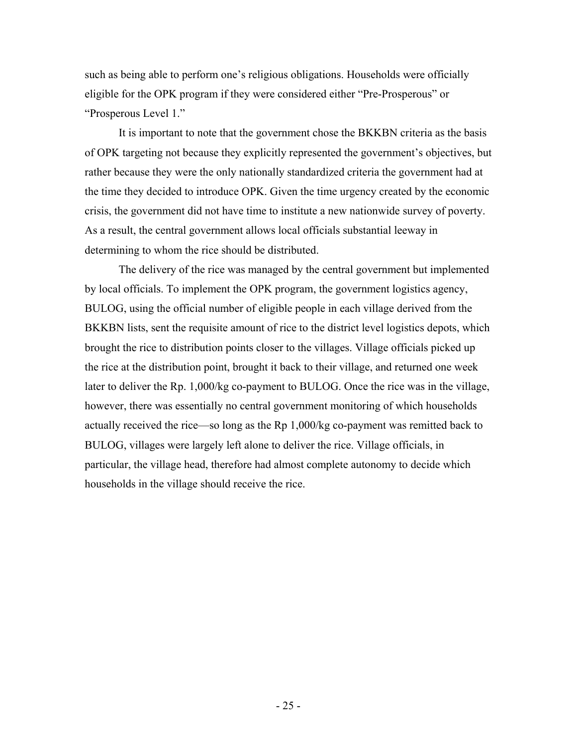such as being able to perform one's religious obligations. Households were officially eligible for the OPK program if they were considered either "Pre-Prosperous" or "Prosperous Level 1."

It is important to note that the government chose the BKKBN criteria as the basis of OPK targeting not because they explicitly represented the government's objectives, but rather because they were the only nationally standardized criteria the government had at the time they decided to introduce OPK. Given the time urgency created by the economic crisis, the government did not have time to institute a new nationwide survey of poverty. As a result, the central government allows local officials substantial leeway in determining to whom the rice should be distributed.

The delivery of the rice was managed by the central government but implemented by local officials. To implement the OPK program, the government logistics agency, BULOG, using the official number of eligible people in each village derived from the BKKBN lists, sent the requisite amount of rice to the district level logistics depots, which brought the rice to distribution points closer to the villages. Village officials picked up the rice at the distribution point, brought it back to their village, and returned one week later to deliver the Rp. 1,000/kg co-payment to BULOG. Once the rice was in the village, however, there was essentially no central government monitoring of which households actually received the rice—so long as the Rp 1,000/kg co-payment was remitted back to BULOG, villages were largely left alone to deliver the rice. Village officials, in particular, the village head, therefore had almost complete autonomy to decide which households in the village should receive the rice.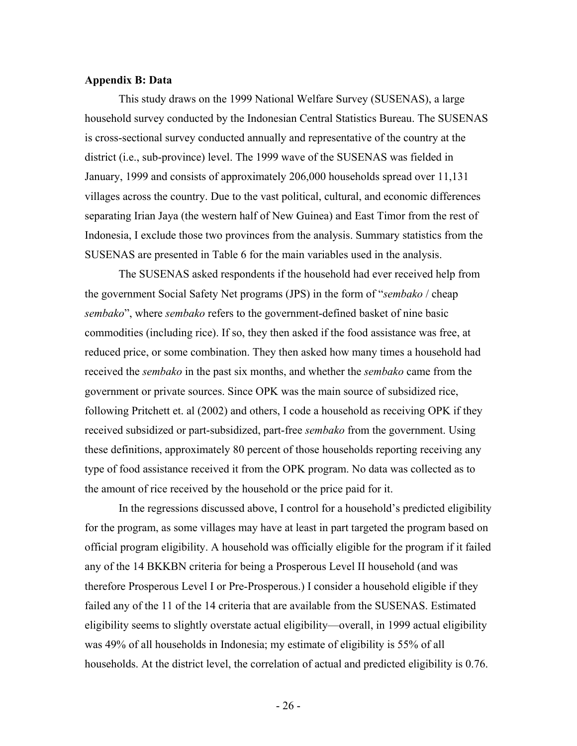#### **Appendix B: Data**

This study draws on the 1999 National Welfare Survey (SUSENAS), a large household survey conducted by the Indonesian Central Statistics Bureau. The SUSENAS is cross-sectional survey conducted annually and representative of the country at the district (i.e., sub-province) level. The 1999 wave of the SUSENAS was fielded in January, 1999 and consists of approximately 206,000 households spread over 11,131 villages across the country. Due to the vast political, cultural, and economic differences separating Irian Jaya (the western half of New Guinea) and East Timor from the rest of Indonesia, I exclude those two provinces from the analysis. Summary statistics from the SUSENAS are presented in Table 6 for the main variables used in the analysis.

The SUSENAS asked respondents if the household had ever received help from the government Social Safety Net programs (JPS) in the form of "*sembako* / cheap *sembako*", where *sembako* refers to the government-defined basket of nine basic commodities (including rice). If so, they then asked if the food assistance was free, at reduced price, or some combination. They then asked how many times a household had received the *sembako* in the past six months, and whether the *sembako* came from the government or private sources. Since OPK was the main source of subsidized rice, following Pritchett et. al (2002) and others, I code a household as receiving OPK if they received subsidized or part-subsidized, part-free *sembako* from the government. Using these definitions, approximately 80 percent of those households reporting receiving any type of food assistance received it from the OPK program. No data was collected as to the amount of rice received by the household or the price paid for it.

In the regressions discussed above, I control for a household's predicted eligibility for the program, as some villages may have at least in part targeted the program based on official program eligibility. A household was officially eligible for the program if it failed any of the 14 BKKBN criteria for being a Prosperous Level II household (and was therefore Prosperous Level I or Pre-Prosperous.) I consider a household eligible if they failed any of the 11 of the 14 criteria that are available from the SUSENAS. Estimated eligibility seems to slightly overstate actual eligibility—overall, in 1999 actual eligibility was 49% of all households in Indonesia; my estimate of eligibility is 55% of all households. At the district level, the correlation of actual and predicted eligibility is 0.76.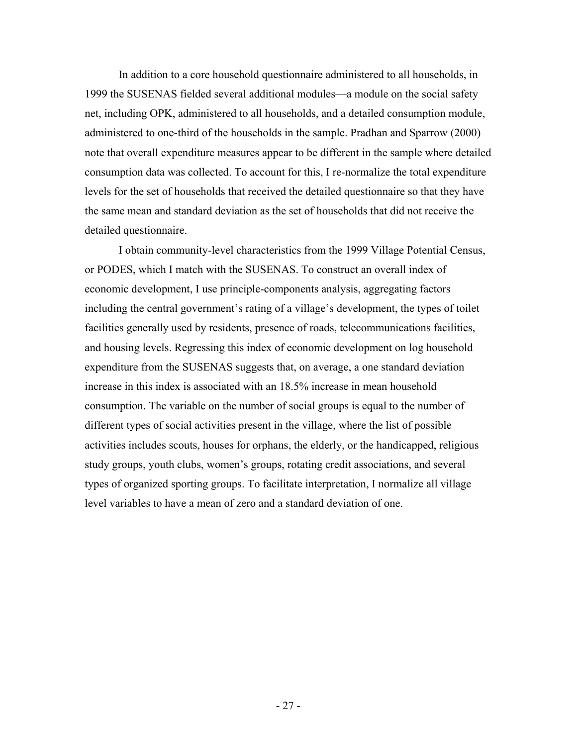In addition to a core household questionnaire administered to all households, in 1999 the SUSENAS fielded several additional modules—a module on the social safety net, including OPK, administered to all households, and a detailed consumption module, administered to one-third of the households in the sample. Pradhan and Sparrow (2000) note that overall expenditure measures appear to be different in the sample where detailed consumption data was collected. To account for this, I re-normalize the total expenditure levels for the set of households that received the detailed questionnaire so that they have the same mean and standard deviation as the set of households that did not receive the detailed questionnaire.

I obtain community-level characteristics from the 1999 Village Potential Census, or PODES, which I match with the SUSENAS. To construct an overall index of economic development, I use principle-components analysis, aggregating factors including the central government's rating of a village's development, the types of toilet facilities generally used by residents, presence of roads, telecommunications facilities, and housing levels. Regressing this index of economic development on log household expenditure from the SUSENAS suggests that, on average, a one standard deviation increase in this index is associated with an 18.5% increase in mean household consumption. The variable on the number of social groups is equal to the number of different types of social activities present in the village, where the list of possible activities includes scouts, houses for orphans, the elderly, or the handicapped, religious study groups, youth clubs, women's groups, rotating credit associations, and several types of organized sporting groups. To facilitate interpretation, I normalize all village level variables to have a mean of zero and a standard deviation of one.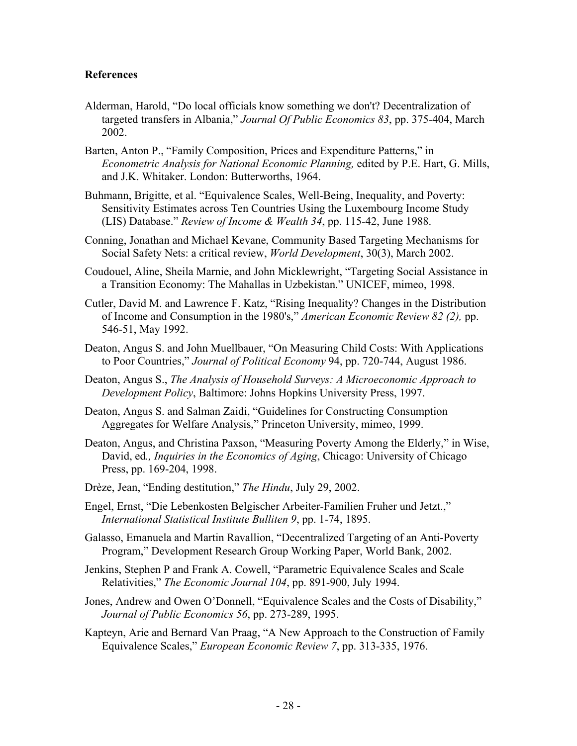#### **References**

- Alderman, Harold, "Do local officials know something we don't? Decentralization of targeted transfers in Albania," *Journal Of Public Economics 83*, pp. 375-404, March 2002.
- Barten, Anton P., "Family Composition, Prices and Expenditure Patterns," in *Econometric Analysis for National Economic Planning,* edited by P.E. Hart, G. Mills, and J.K. Whitaker. London: Butterworths, 1964.
- Buhmann, Brigitte, et al. "Equivalence Scales, Well-Being, Inequality, and Poverty: Sensitivity Estimates across Ten Countries Using the Luxembourg Income Study (LIS) Database." *Review of Income & Wealth 34*, pp. 115-42, June 1988.
- Conning, Jonathan and Michael Kevane, Community Based Targeting Mechanisms for Social Safety Nets: a critical review, *World Development*, 30(3), March 2002.
- Coudouel, Aline, Sheila Marnie, and John Micklewright, "Targeting Social Assistance in a Transition Economy: The Mahallas in Uzbekistan." UNICEF, mimeo, 1998.
- Cutler, David M. and Lawrence F. Katz, "Rising Inequality? Changes in the Distribution of Income and Consumption in the 1980's," *American Economic Review 82 (2),* pp. 546-51, May 1992.
- Deaton, Angus S. and John Muellbauer, "On Measuring Child Costs: With Applications to Poor Countries," *Journal of Political Economy* 94, pp. 720-744, August 1986.
- Deaton, Angus S., *The Analysis of Household Surveys: A Microeconomic Approach to Development Policy*, Baltimore: Johns Hopkins University Press, 1997.
- Deaton, Angus S. and Salman Zaidi, "Guidelines for Constructing Consumption Aggregates for Welfare Analysis," Princeton University, mimeo, 1999.
- Deaton, Angus, and Christina Paxson, "Measuring Poverty Among the Elderly," in Wise, David, ed*., Inquiries in the Economics of Aging*, Chicago: University of Chicago Press, pp. 169-204, 1998.
- Drèze, Jean, "Ending destitution," *The Hindu*, July 29, 2002.
- Engel, Ernst, "Die Lebenkosten Belgischer Arbeiter-Familien Fruher und Jetzt.," *International Statistical Institute Bulliten 9*, pp. 1-74, 1895.
- Galasso, Emanuela and Martin Ravallion, "Decentralized Targeting of an Anti-Poverty Program," Development Research Group Working Paper, World Bank, 2002.
- Jenkins, Stephen P and Frank A. Cowell, "Parametric Equivalence Scales and Scale Relativities," *The Economic Journal 104*, pp. 891-900, July 1994.
- Jones, Andrew and Owen O'Donnell, "Equivalence Scales and the Costs of Disability," *Journal of Public Economics 56*, pp. 273-289, 1995.
- Kapteyn, Arie and Bernard Van Praag, "A New Approach to the Construction of Family Equivalence Scales," *European Economic Review 7*, pp. 313-335, 1976.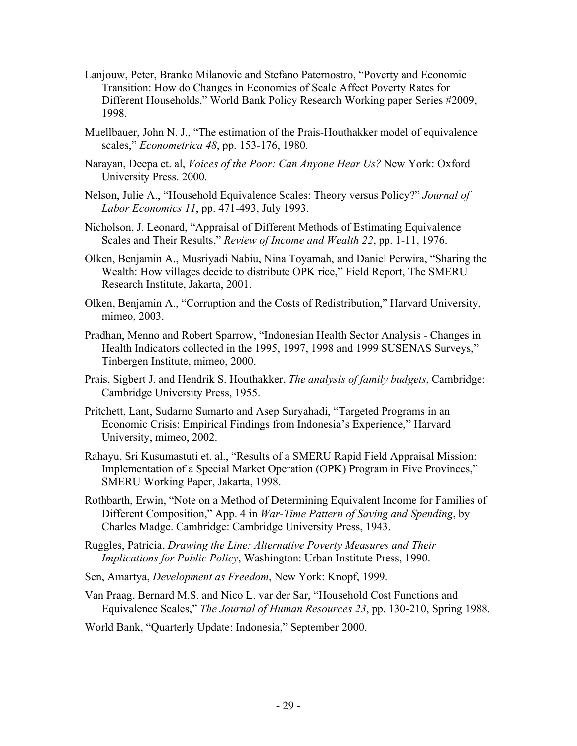- Lanjouw, Peter, Branko Milanovic and Stefano Paternostro, "Poverty and Economic Transition: How do Changes in Economies of Scale Affect Poverty Rates for Different Households," World Bank Policy Research Working paper Series #2009, 1998.
- Muellbauer, John N. J., "The estimation of the Prais-Houthakker model of equivalence scales," *Econometrica 48*, pp. 153-176, 1980.
- Narayan, Deepa et. al, *Voices of the Poor: Can Anyone Hear Us?* New York: Oxford University Press. 2000.
- Nelson, Julie A., "Household Equivalence Scales: Theory versus Policy?" *Journal of Labor Economics 11*, pp. 471-493, July 1993.
- Nicholson, J. Leonard, "Appraisal of Different Methods of Estimating Equivalence Scales and Their Results," *Review of Income and Wealth 22*, pp. 1-11, 1976.
- Olken, Benjamin A., Musriyadi Nabiu, Nina Toyamah, and Daniel Perwira, "Sharing the Wealth: How villages decide to distribute OPK rice," Field Report, The SMERU Research Institute, Jakarta, 2001.
- Olken, Benjamin A., "Corruption and the Costs of Redistribution," Harvard University, mimeo, 2003.
- Pradhan, Menno and Robert Sparrow, "Indonesian Health Sector Analysis Changes in Health Indicators collected in the 1995, 1997, 1998 and 1999 SUSENAS Surveys," Tinbergen Institute, mimeo, 2000.
- Prais, Sigbert J. and Hendrik S. Houthakker, *The analysis of family budgets*, Cambridge: Cambridge University Press, 1955.
- Pritchett, Lant, Sudarno Sumarto and Asep Suryahadi, "Targeted Programs in an Economic Crisis: Empirical Findings from Indonesia's Experience," Harvard University, mimeo, 2002.
- Rahayu, Sri Kusumastuti et. al., "Results of a SMERU Rapid Field Appraisal Mission: Implementation of a Special Market Operation (OPK) Program in Five Provinces," SMERU Working Paper, Jakarta, 1998.
- Rothbarth, Erwin, "Note on a Method of Determining Equivalent Income for Families of Different Composition," App. 4 in *War-Time Pattern of Saving and Spending*, by Charles Madge. Cambridge: Cambridge University Press, 1943.
- Ruggles, Patricia, *Drawing the Line: Alternative Poverty Measures and Their Implications for Public Policy*, Washington: Urban Institute Press, 1990.
- Sen, Amartya, *Development as Freedom*, New York: Knopf, 1999.
- Van Praag, Bernard M.S. and Nico L. var der Sar, "Household Cost Functions and Equivalence Scales," *The Journal of Human Resources 23*, pp. 130-210, Spring 1988.
- World Bank, "Quarterly Update: Indonesia," September 2000.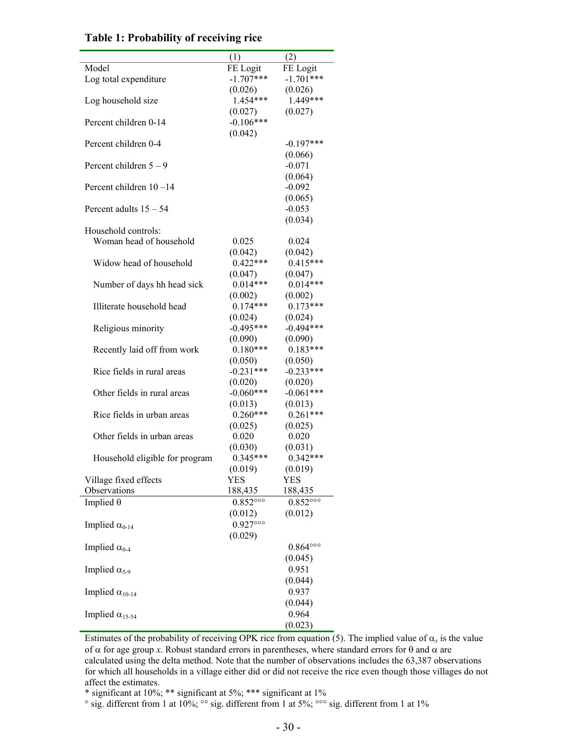|                                | (1)                       | (2)                       |
|--------------------------------|---------------------------|---------------------------|
| Model                          | FE Logit                  | FE Logit                  |
| Log total expenditure          | $-1.707***$               | $-1.701***$               |
|                                | (0.026)                   | (0.026)                   |
| Log household size             | 1.454***                  | 1.449***                  |
|                                | (0.027)                   | (0.027)                   |
| Percent children 0-14          | $-0.106***$               |                           |
|                                |                           |                           |
|                                | (0.042)                   |                           |
| Percent children 0-4           |                           | $-0.197***$               |
|                                |                           | (0.066)                   |
| Percent children $5 - 9$       |                           | $-0.071$                  |
|                                |                           | (0.064)                   |
| Percent children $10-14$       |                           | $-0.092$                  |
|                                |                           | (0.065)                   |
| Percent adults $15 - 54$       |                           | $-0.053$                  |
|                                |                           | (0.034)                   |
| Household controls:            |                           |                           |
| Woman head of household        | 0.025                     | 0.024                     |
|                                | (0.042)                   |                           |
|                                | $0.422***$                | (0.042)                   |
| Widow head of household        |                           | $0.415***$                |
|                                | (0.047)                   | (0.047)                   |
| Number of days hh head sick    | $0.014***$                | $0.014***$                |
|                                | (0.002)                   | (0.002)                   |
| Illiterate household head      | $0.174***$                | $0.173***$                |
|                                | (0.024)                   | (0.024)                   |
| Religious minority             | $-0.495***$               | $-0.494***$               |
|                                | (0.090)                   | (0.090)                   |
| Recently laid off from work    | $0.180***$                | $0.183***$                |
|                                | (0.050)                   | (0.050)                   |
| Rice fields in rural areas     | $-0.231***$               | $-0.233***$               |
|                                |                           | (0.020)                   |
|                                | (0.020)                   |                           |
| Other fields in rural areas    | $-0.060***$               | $-0.061***$               |
|                                | (0.013)                   | (0.013)                   |
| Rice fields in urban areas     | $0.260***$                | $0.261***$                |
|                                | (0.025)                   | (0.025)                   |
| Other fields in urban areas    | 0.020                     | 0.020                     |
|                                | (0.030)                   | (0.031)                   |
| Household eligible for program | $0.345***$                | $0.342***$                |
|                                | (0.019)                   | (0.019)                   |
| Village fixed effects          | <b>YES</b>                | YES                       |
| Observations                   | 188,435                   | 188,435                   |
| Implied $\theta$               | $0.852^{\circ\circ\circ}$ | $0.852^{\circ\circ\circ}$ |
|                                |                           |                           |
|                                | (0.012)                   | (0.012)                   |
| Implied $\alpha_{0-14}$        | $0.927^{\circ\circ\circ}$ |                           |
|                                | (0.029)                   |                           |
| Implied $\alpha_{0-4}$         |                           | $0.864^{\circ\circ\circ}$ |
|                                |                           | (0.045)                   |
| Implied $\alpha_{5-9}$         |                           | 0.951                     |
|                                |                           | (0.044)                   |
| Implied $\alpha_{10-14}$       |                           | 0.937                     |
|                                |                           | (0.044)                   |
|                                |                           |                           |
| Implied $\alpha_{15-54}$       |                           | 0.964                     |
|                                |                           | (0.023)                   |

#### **Table 1: Probability of receiving rice**

Estimates of the probability of receiving OPK rice from equation (5). The implied value of  $\alpha_x$  is the value of  $α$  for age group *x*. Robust standard errors in parentheses, where standard errors for θ and  $α$  are calculated using the delta method. Note that the number of observations includes the 63,387 observations for which all households in a village either did or did not receive the rice even though those villages do not affect the estimates.

\* significant at 10%; \*\* significant at 5%; \*\*\* significant at 1%

 $\degree$  sig. different from 1 at 10%;  $\degree$  sig. different from 1 at 5%;  $\degree$  sig. different from 1 at 1%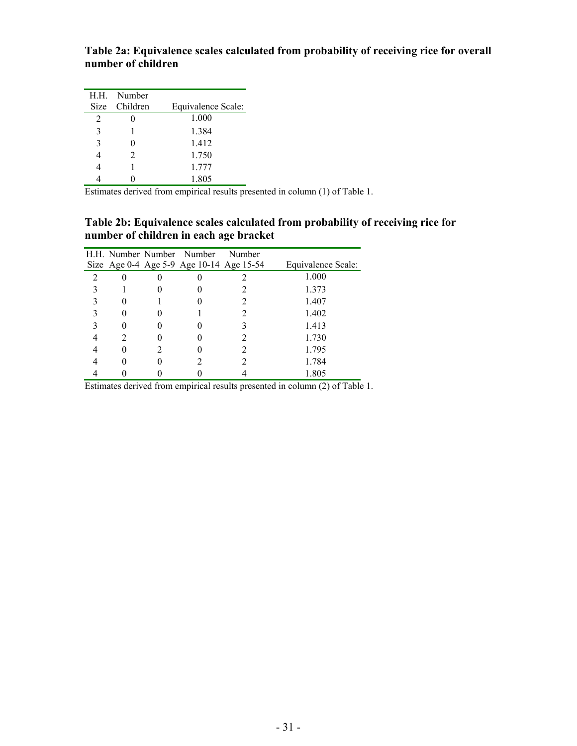**Table 2a: Equivalence scales calculated from probability of receiving rice for overall number of children** 

|   | H.H. Number   |                    |
|---|---------------|--------------------|
|   | Size Children | Equivalence Scale: |
| 2 |               | 1.000              |
| 3 |               | 1.384              |
| 3 |               | 1.412              |
|   | $\mathcal{L}$ | 1.750              |
|   |               | 1.777              |
|   |               | 1.805              |

Estimates derived from empirical results presented in column (1) of Table 1.

#### **Table 2b: Equivalence scales calculated from probability of receiving rice for number of children in each age bracket**

|                |   | H.H. Number Number Number                | Number |                    |
|----------------|---|------------------------------------------|--------|--------------------|
|                |   | Size Age 0-4 Age 5-9 Age 10-14 Age 15-54 |        | Equivalence Scale: |
| $\overline{2}$ |   |                                          |        | 1.000              |
|                |   |                                          |        | 1.373              |
|                |   |                                          |        | 1.407              |
|                |   |                                          |        | 1.402              |
|                |   |                                          |        | 1.413              |
|                | 2 |                                          |        | 1.730              |
|                |   |                                          |        | 1.795              |
|                |   |                                          |        | 1.784              |
|                |   |                                          |        | 1.805              |

Estimates derived from empirical results presented in column (2) of Table 1.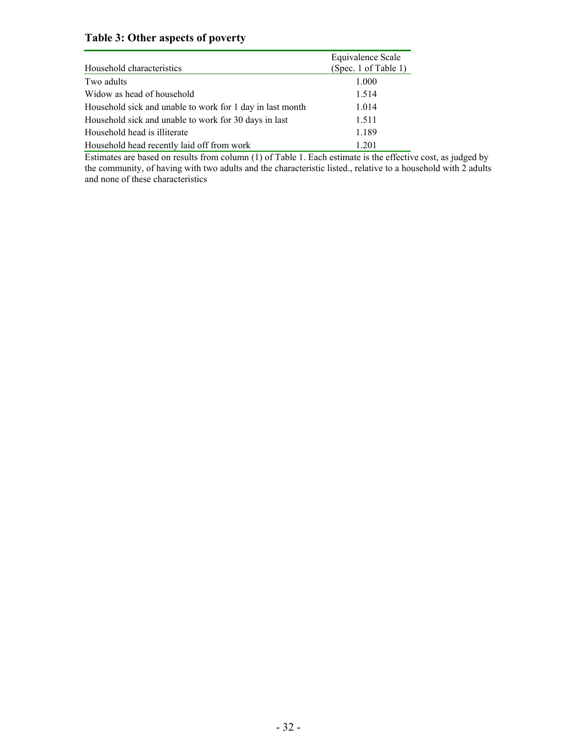### **Table 3: Other aspects of poverty**

| Household characteristics                                 | Equivalence Scale<br>(Spec. 1 of Table 1) |
|-----------------------------------------------------------|-------------------------------------------|
| Two adults                                                | 1.000                                     |
| Widow as head of household                                | 1.514                                     |
| Household sick and unable to work for 1 day in last month | 1.014                                     |
| Household sick and unable to work for 30 days in last     | 1.511                                     |
| Household head is illiterate                              | 1.189                                     |
| Household head recently laid off from work                | 1.201                                     |

Estimates are based on results from column (1) of Table 1. Each estimate is the effective cost, as judged by the community, of having with two adults and the characteristic listed., relative to a household with 2 adults and none of these characteristics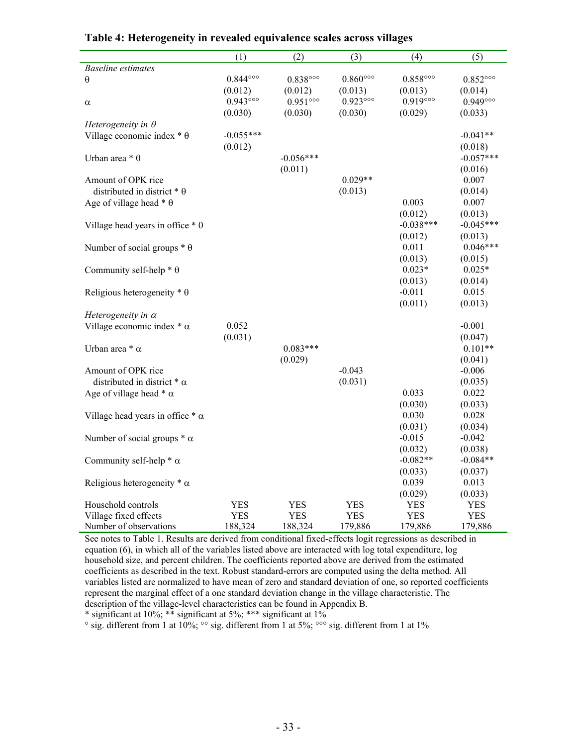|                                         | (1)                       | (2)                       | (3)                       | (4)                       | (5)                       |
|-----------------------------------------|---------------------------|---------------------------|---------------------------|---------------------------|---------------------------|
| <b>Baseline estimates</b>               |                           |                           |                           |                           |                           |
| θ                                       | $0.844^{\circ\circ\circ}$ | $0.838^{\circ\circ\circ}$ | $0.860^{\circ\circ\circ}$ | $0.858^{\circ\circ\circ}$ | $0.852^{\circ\circ\circ}$ |
|                                         | (0.012)                   | (0.012)                   | (0.013)                   | (0.013)                   | (0.014)                   |
| α                                       | $0.943^{\circ\circ\circ}$ | $0.951^{\circ\circ\circ}$ | $0.923^{\circ\circ\circ}$ | $0.919^{\circ\circ\circ}$ | $0.949^{\circ\circ\circ}$ |
|                                         | (0.030)                   | (0.030)                   | (0.030)                   | (0.029)                   | (0.033)                   |
| Heterogeneity in $\theta$               |                           |                           |                           |                           |                           |
| Village economic index $* \theta$       | $-0.055***$               |                           |                           |                           | $-0.041**$                |
|                                         | (0.012)                   |                           |                           |                           | (0.018)                   |
| Urban area $* \theta$                   |                           | $-0.056***$               |                           |                           | $-0.057***$               |
|                                         |                           | (0.011)                   |                           |                           | (0.016)                   |
| Amount of OPK rice                      |                           |                           | $0.029**$                 |                           | 0.007                     |
| distributed in district $* \theta$      |                           |                           | (0.013)                   |                           | (0.014)                   |
| Age of village head $* \theta$          |                           |                           |                           | 0.003                     | 0.007                     |
|                                         |                           |                           |                           | (0.012)                   | (0.013)                   |
| Village head years in office $* \theta$ |                           |                           |                           | $-0.038***$               | $-0.045***$               |
|                                         |                           |                           |                           | (0.012)                   | (0.013)                   |
| Number of social groups $* \theta$      |                           |                           |                           | 0.011                     | $0.046***$                |
|                                         |                           |                           |                           | (0.013)                   | (0.015)                   |
| Community self-help $* \theta$          |                           |                           |                           | $0.023*$                  | $0.025*$                  |
|                                         |                           |                           |                           | (0.013)                   | (0.014)                   |
| Religious heterogeneity $* \theta$      |                           |                           |                           | $-0.011$                  | 0.015                     |
|                                         |                           |                           |                           | (0.011)                   | (0.013)                   |
| Heterogeneity in $\alpha$               |                           |                           |                           |                           |                           |
| Village economic index $*\alpha$        | 0.052                     |                           |                           |                           | $-0.001$                  |
|                                         | (0.031)                   |                           |                           |                           | (0.047)                   |
| Urban area $*$ $\alpha$                 |                           | $0.083***$                |                           |                           | $0.101**$                 |
|                                         |                           | (0.029)                   |                           |                           | (0.041)                   |
| Amount of OPK rice                      |                           |                           | $-0.043$                  |                           | $-0.006$                  |
| distributed in district $*\alpha$       |                           |                           | (0.031)                   |                           | (0.035)                   |
| Age of village head $*\alpha$           |                           |                           |                           | 0.033                     | 0.022                     |
|                                         |                           |                           |                           | (0.030)                   | (0.033)                   |
| Village head years in office $*\alpha$  |                           |                           |                           | 0.030                     | 0.028                     |
|                                         |                           |                           |                           | (0.031)                   | (0.034)                   |
| Number of social groups $*\alpha$       |                           |                           |                           | $-0.015$                  | $-0.042$                  |
|                                         |                           |                           |                           | (0.032)                   | (0.038)                   |
| Community self-help $*\alpha$           |                           |                           |                           | $-0.082**$                | $-0.084**$                |
|                                         |                           |                           |                           | (0.033)                   | (0.037)                   |
| Religious heterogeneity $*\alpha$       |                           |                           |                           | 0.039                     | 0.013                     |
|                                         |                           |                           |                           | (0.029)                   | (0.033)                   |
| Household controls                      | <b>YES</b>                | <b>YES</b>                | <b>YES</b>                | <b>YES</b>                | <b>YES</b>                |
| Village fixed effects                   | <b>YES</b>                | YES                       | YES                       | <b>YES</b>                | <b>YES</b>                |
| Number of observations                  | 188,324                   | 188,324                   | 179,886                   | 179,886                   | 179,886                   |

#### **Table 4: Heterogeneity in revealed equivalence scales across villages**

See notes to Table 1. Results are derived from conditional fixed-effects logit regressions as described in equation (6), in which all of the variables listed above are interacted with log total expenditure, log household size, and percent children. The coefficients reported above are derived from the estimated coefficients as described in the text. Robust standard-errors are computed using the delta method. All variables listed are normalized to have mean of zero and standard deviation of one, so reported coefficients represent the marginal effect of a one standard deviation change in the village characteristic. The description of the village-level characteristics can be found in Appendix B.

\* significant at 10%; \*\* significant at 5%; \*\*\* significant at  $1\%$ 

 $\degree$  sig. different from 1 at 10%;  $\degree$  sig. different from 1 at 5%;  $\degree$  sig. different from 1 at 1%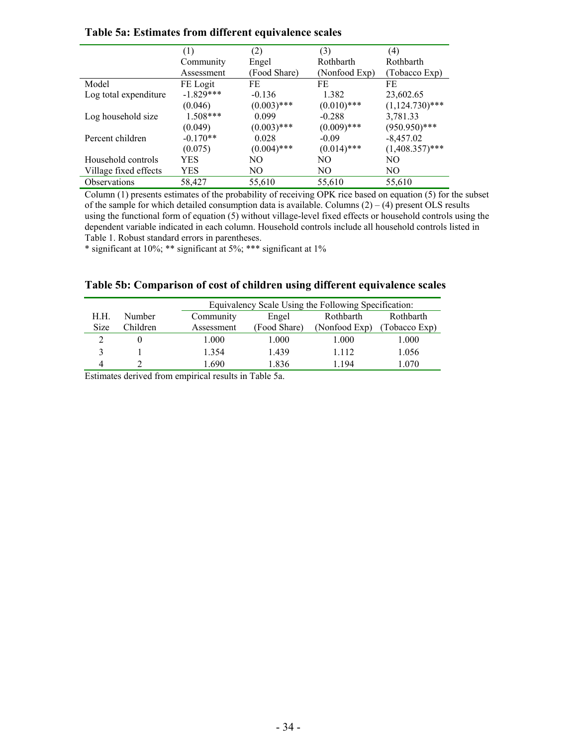|                       | (1)         | (2)           | (3)           | (4)               |
|-----------------------|-------------|---------------|---------------|-------------------|
|                       | Community   | Engel         | Rothbarth     | Rothbarth         |
|                       | Assessment  | (Food Share)  | (Nonfood Exp) | (Tobacco Exp)     |
| Model                 | FE Logit    | FE            | FE            | FE                |
| Log total expenditure | $-1.829***$ | $-0.136$      | 1.382         | 23,602.65         |
|                       | (0.046)     | $(0.003)$ *** | $(0.010)$ *** | $(1,124.730)$ *** |
| Log household size    | $1.508***$  | 0.099         | $-0.288$      | 3,781.33          |
|                       | (0.049)     | $(0.003)$ *** | $(0.009)$ *** | $(950.950)$ ***   |
| Percent children      | $-0.170**$  | 0.028         | $-0.09$       | $-8,457.02$       |
|                       | (0.075)     | $(0.004)$ *** | $(0.014)$ *** | $(1,408.357)$ *** |
| Household controls    | YES         | NO            | NO.           | NO.               |
| Village fixed effects | YES         | NO.           | NO            | NO.               |
| <b>Observations</b>   | 58,427      | 55,610        | 55,610        | 55,610            |

#### **Table 5a: Estimates from different equivalence scales**

Column (1) presents estimates of the probability of receiving OPK rice based on equation (5) for the subset of the sample for which detailed consumption data is available. Columns  $(2) - (4)$  present OLS results using the functional form of equation (5) without village-level fixed effects or household controls using the dependent variable indicated in each column. Household controls include all household controls listed in Table 1. Robust standard errors in parentheses.

\* significant at 10%; \*\* significant at 5%; \*\*\* significant at 1%

#### **Table 5b: Comparison of cost of children using different equivalence scales**

|             |               |            | Equivalency Scale Using the Following Specification: |               |               |  |
|-------------|---------------|------------|------------------------------------------------------|---------------|---------------|--|
| H.H.        | <b>Number</b> | Community  | Engel                                                | Rothbarth     | Rothbarth     |  |
| <b>Size</b> | Children      | Assessment | (Food Share)                                         | (Nonfood Exp) | (Tobacco Exp) |  |
|             |               | 1.000      | 1.000                                                | 1.000         | 1.000         |  |
|             |               | 1 3 5 4    | 1.439                                                | 1 1 1 2       | 1.056         |  |
| 4           |               | .690       | 1.836                                                | 1 194         | 1.070         |  |

Estimates derived from empirical results in Table 5a.